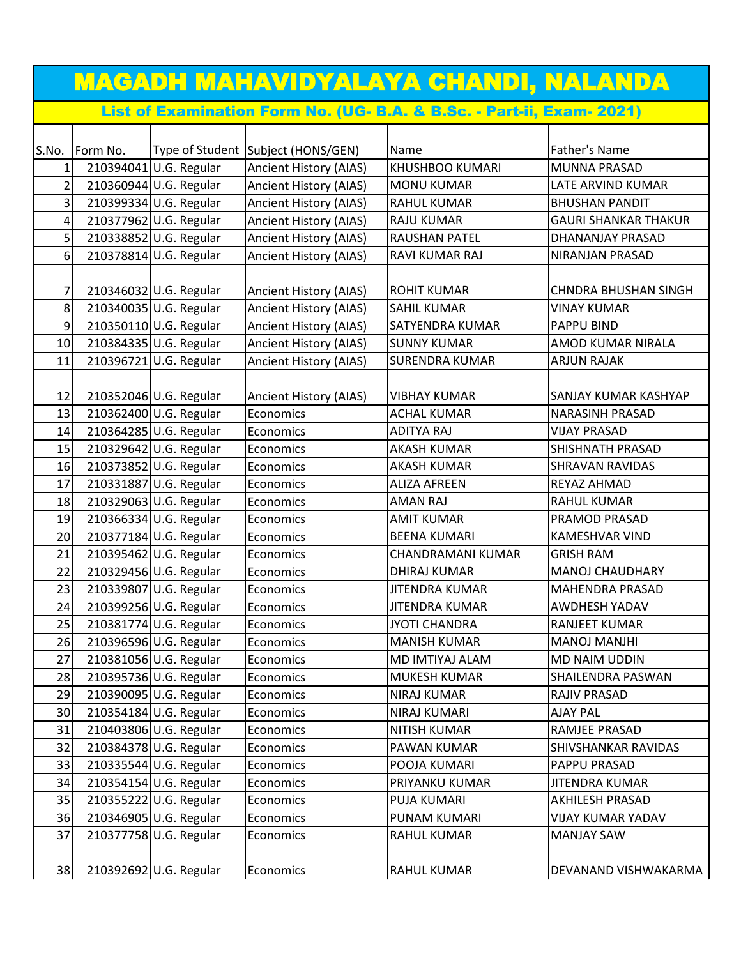|                | MAGADH MAHAVIDYALAYA CHANDI, NALANDA |                        |                                      |                                                                       |                             |  |  |
|----------------|--------------------------------------|------------------------|--------------------------------------|-----------------------------------------------------------------------|-----------------------------|--|--|
|                |                                      |                        |                                      | List of Examination Form No. (UG- B.A. & B.Sc. - Part-ii, Exam- 2021) |                             |  |  |
|                |                                      |                        |                                      |                                                                       |                             |  |  |
| S.No.          | Form No.                             |                        | Type of Student   Subject (HONS/GEN) | Name                                                                  | Father's Name               |  |  |
| 1              |                                      | 210394041 U.G. Regular | Ancient History (AIAS)               | KHUSHBOO KUMARI                                                       | <b>MUNNA PRASAD</b>         |  |  |
| $\overline{2}$ |                                      | 210360944 U.G. Regular | Ancient History (AIAS)               | <b>MONU KUMAR</b>                                                     | LATE ARVIND KUMAR           |  |  |
| 3              |                                      | 210399334 U.G. Regular | Ancient History (AIAS)               | <b>RAHUL KUMAR</b>                                                    | <b>BHUSHAN PANDIT</b>       |  |  |
| 4              |                                      | 210377962 U.G. Regular | Ancient History (AIAS)               | <b>RAJU KUMAR</b>                                                     | <b>GAURI SHANKAR THAKUR</b> |  |  |
| 5              |                                      | 210338852 U.G. Regular | Ancient History (AIAS)               | RAUSHAN PATEL                                                         | DHANANJAY PRASAD            |  |  |
| $6 \mid$       |                                      | 210378814 U.G. Regular | Ancient History (AIAS)               | <b>RAVI KUMAR RAJ</b>                                                 | <b>NIRANJAN PRASAD</b>      |  |  |
|                |                                      |                        |                                      |                                                                       |                             |  |  |
| 7              |                                      | 210346032 U.G. Regular | Ancient History (AIAS)               | <b>ROHIT KUMAR</b>                                                    | <b>CHNDRA BHUSHAN SINGH</b> |  |  |
| 8              |                                      | 210340035 U.G. Regular | Ancient History (AIAS)               | <b>SAHIL KUMAR</b>                                                    | <b>VINAY KUMAR</b>          |  |  |
| 9              |                                      | 210350110 U.G. Regular | Ancient History (AIAS)               | SATYENDRA KUMAR                                                       | PAPPU BIND                  |  |  |
| 10             |                                      | 210384335 U.G. Regular | Ancient History (AIAS)               | <b>SUNNY KUMAR</b>                                                    | AMOD KUMAR NIRALA           |  |  |
| 11             |                                      | 210396721 U.G. Regular | <b>Ancient History (AIAS)</b>        | <b>SURENDRA KUMAR</b>                                                 | <b>ARJUN RAJAK</b>          |  |  |
|                |                                      |                        |                                      |                                                                       |                             |  |  |
| 12             |                                      | 210352046 U.G. Regular | Ancient History (AIAS)               | <b>VIBHAY KUMAR</b>                                                   | SANJAY KUMAR KASHYAP        |  |  |
| 13             |                                      | 210362400 U.G. Regular | Economics                            | <b>ACHAL KUMAR</b>                                                    | <b>NARASINH PRASAD</b>      |  |  |
| 14             |                                      | 210364285 U.G. Regular | Economics                            | <b>ADITYA RAJ</b>                                                     | <b>VIJAY PRASAD</b>         |  |  |
| 15             |                                      | 210329642 U.G. Regular | Economics                            | <b>AKASH KUMAR</b>                                                    | SHISHNATH PRASAD            |  |  |
| 16             |                                      | 210373852 U.G. Regular | Economics                            | <b>AKASH KUMAR</b>                                                    | <b>SHRAVAN RAVIDAS</b>      |  |  |
| 17             |                                      | 210331887 U.G. Regular | Economics                            | <b>ALIZA AFREEN</b>                                                   | REYAZ AHMAD                 |  |  |
| 18             |                                      | 210329063 U.G. Regular | Economics                            | <b>AMAN RAJ</b>                                                       | <b>RAHUL KUMAR</b>          |  |  |
| 19             |                                      | 210366334 U.G. Regular | Economics                            | <b>AMIT KUMAR</b>                                                     | PRAMOD PRASAD               |  |  |
| 20             |                                      | 210377184 U.G. Regular | Economics                            | <b>BEENA KUMARI</b>                                                   | <b>KAMESHVAR VIND</b>       |  |  |
| 21             |                                      | 210395462 U.G. Regular | Economics                            | <b>CHANDRAMANI KUMAR</b>                                              | <b>GRISH RAM</b>            |  |  |
| 22             |                                      | 210329456 U.G. Regular | Economics                            | <b>DHIRAJ KUMAR</b>                                                   | <b>MANOJ CHAUDHARY</b>      |  |  |
| 23             |                                      | 210339807 U.G. Regular | Economics                            | <b>JITENDRA KUMAR</b>                                                 | <b>MAHENDRA PRASAD</b>      |  |  |
| 24             |                                      | 210399256 U.G. Regular | Economics                            | <b>JITENDRA KUMAR</b>                                                 | AWDHESH YADAV               |  |  |
| 25             |                                      | 210381774 U.G. Regular | Economics                            | <b>JYOTI CHANDRA</b>                                                  | <b>RANJEET KUMAR</b>        |  |  |
| 26             |                                      | 210396596 U.G. Regular | Economics                            | <b>MANISH KUMAR</b>                                                   | <b>MANOJ MANJHI</b>         |  |  |
| 27             |                                      | 210381056 U.G. Regular | Economics                            | MD IMTIYAJ ALAM                                                       | MD NAIM UDDIN               |  |  |
| 28             |                                      | 210395736 U.G. Regular | Economics                            | <b>MUKESH KUMAR</b>                                                   | SHAILENDRA PASWAN           |  |  |
| 29             |                                      | 210390095 U.G. Regular | Economics                            | <b>NIRAJ KUMAR</b>                                                    | RAJIV PRASAD                |  |  |
| 30             |                                      | 210354184 U.G. Regular | Economics                            | NIRAJ KUMARI                                                          | <b>AJAY PAL</b>             |  |  |
| 31             |                                      | 210403806 U.G. Regular | Economics                            | NITISH KUMAR                                                          | RAMJEE PRASAD               |  |  |
| 32             |                                      | 210384378 U.G. Regular | Economics                            | PAWAN KUMAR                                                           | SHIVSHANKAR RAVIDAS         |  |  |
| 33             |                                      | 210335544 U.G. Regular | Economics                            | POOJA KUMARI                                                          | PAPPU PRASAD                |  |  |
| 34             |                                      | 210354154 U.G. Regular | Economics                            | PRIYANKU KUMAR                                                        | JITENDRA KUMAR              |  |  |
| 35             |                                      | 210355222 U.G. Regular | Economics                            | PUJA KUMARI                                                           | <b>AKHILESH PRASAD</b>      |  |  |
| 36             |                                      | 210346905 U.G. Regular | Economics                            | PUNAM KUMARI                                                          | <b>VIJAY KUMAR YADAV</b>    |  |  |
| 37             |                                      | 210377758 U.G. Regular | Economics                            | <b>RAHUL KUMAR</b>                                                    | <b>MANJAY SAW</b>           |  |  |
|                |                                      |                        |                                      |                                                                       |                             |  |  |
| 38             |                                      | 210392692 U.G. Regular | Economics                            | RAHUL KUMAR                                                           | DEVANAND VISHWAKARMA        |  |  |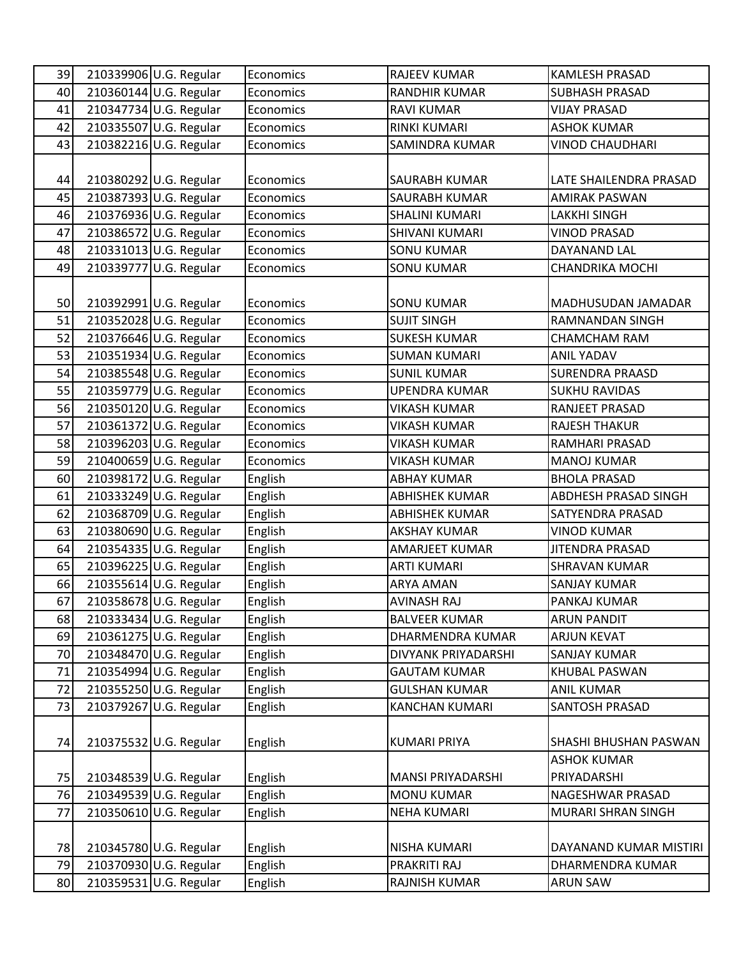| 39 | 210339906 U.G. Regular | Economics | <b>RAJEEV KUMAR</b>   | <b>KAMLESH PRASAD</b>  |
|----|------------------------|-----------|-----------------------|------------------------|
| 40 | 210360144 U.G. Regular | Economics | <b>RANDHIR KUMAR</b>  | <b>SUBHASH PRASAD</b>  |
| 41 | 210347734 U.G. Regular | Economics | <b>RAVI KUMAR</b>     | <b>VIJAY PRASAD</b>    |
| 42 | 210335507 U.G. Regular | Economics | <b>RINKI KUMARI</b>   | <b>ASHOK KUMAR</b>     |
| 43 | 210382216 U.G. Regular | Economics | <b>SAMINDRA KUMAR</b> | <b>VINOD CHAUDHARI</b> |
|    |                        |           |                       |                        |
| 44 | 210380292 U.G. Regular | Economics | SAURABH KUMAR         | LATE SHAILENDRA PRASAD |
| 45 | 210387393 U.G. Regular | Economics | SAURABH KUMAR         | <b>AMIRAK PASWAN</b>   |
| 46 | 210376936 U.G. Regular | Economics | <b>SHALINI KUMARI</b> | <b>LAKKHI SINGH</b>    |
| 47 | 210386572 U.G. Regular | Economics | <b>SHIVANI KUMARI</b> | <b>VINOD PRASAD</b>    |
| 48 | 210331013 U.G. Regular | Economics | <b>SONU KUMAR</b>     | DAYANAND LAL           |
| 49 | 210339777 U.G. Regular | Economics | <b>SONU KUMAR</b>     | <b>CHANDRIKA MOCHI</b> |
| 50 | 210392991 U.G. Regular | Economics | <b>SONU KUMAR</b>     | MADHUSUDAN JAMADAR     |
| 51 | 210352028 U.G. Regular | Economics | <b>SUJIT SINGH</b>    | <b>RAMNANDAN SINGH</b> |
| 52 | 210376646 U.G. Regular | Economics | <b>SUKESH KUMAR</b>   | <b>CHAMCHAM RAM</b>    |
| 53 | 210351934 U.G. Regular | Economics | <b>SUMAN KUMARI</b>   | <b>ANIL YADAV</b>      |
| 54 | 210385548 U.G. Regular | Economics | <b>SUNIL KUMAR</b>    | <b>SURENDRA PRAASD</b> |
| 55 | 210359779 U.G. Regular | Economics | <b>UPENDRA KUMAR</b>  | <b>SUKHU RAVIDAS</b>   |
| 56 | 210350120 U.G. Regular | Economics | VIKASH KUMAR          | RANJEET PRASAD         |
| 57 | 210361372 U.G. Regular | Economics | <b>VIKASH KUMAR</b>   | <b>RAJESH THAKUR</b>   |
| 58 | 210396203 U.G. Regular | Economics | VIKASH KUMAR          | RAMHARI PRASAD         |
| 59 | 210400659 U.G. Regular | Economics | <b>VIKASH KUMAR</b>   | <b>MANOJ KUMAR</b>     |
| 60 | 210398172 U.G. Regular | English   | <b>ABHAY KUMAR</b>    | <b>BHOLA PRASAD</b>    |
| 61 | 210333249 U.G. Regular | English   | <b>ABHISHEK KUMAR</b> | ABDHESH PRASAD SINGH   |
| 62 | 210368709 U.G. Regular | English   | <b>ABHISHEK KUMAR</b> | SATYENDRA PRASAD       |
| 63 | 210380690 U.G. Regular | English   | <b>AKSHAY KUMAR</b>   | <b>VINOD KUMAR</b>     |
| 64 | 210354335 U.G. Regular | English   | <b>AMARJEET KUMAR</b> | JITENDRA PRASAD        |
| 65 | 210396225 U.G. Regular | English   | <b>ARTI KUMARI</b>    | <b>SHRAVAN KUMAR</b>   |
| 66 | 210355614 U.G. Regular | English   | <b>ARYA AMAN</b>      | <b>SANJAY KUMAR</b>    |
| 67 | 210358678 U.G. Regular | English   | <b>AVINASH RAJ</b>    | <b>PANKAJ KUMAR</b>    |
| 68 | 210333434 U.G. Regular | English   | <b>BALVEER KUMAR</b>  | <b>ARUN PANDIT</b>     |
| 69 | 210361275 U.G. Regular | English   | DHARMENDRA KUMAR      | <b>ARJUN KEVAT</b>     |
| 70 | 210348470 U.G. Regular | English   | DIVYANK PRIYADARSHI   | <b>SANJAY KUMAR</b>    |
| 71 | 210354994 U.G. Regular | English   | <b>GAUTAM KUMAR</b>   | KHUBAL PASWAN          |
| 72 | 210355250 U.G. Regular | English   | <b>GULSHAN KUMAR</b>  | <b>ANIL KUMAR</b>      |
| 73 | 210379267 U.G. Regular | English   | <b>KANCHAN KUMARI</b> | <b>SANTOSH PRASAD</b>  |
| 74 | 210375532 U.G. Regular | English   | <b>KUMARI PRIYA</b>   | SHASHI BHUSHAN PASWAN  |
|    |                        |           |                       | <b>ASHOK KUMAR</b>     |
| 75 | 210348539 U.G. Regular | English   | MANSI PRIYADARSHI     | PRIYADARSHI            |
| 76 | 210349539 U.G. Regular | English   | <b>MONU KUMAR</b>     | NAGESHWAR PRASAD       |
| 77 | 210350610 U.G. Regular | English   | <b>NEHA KUMARI</b>    | MURARI SHRAN SINGH     |
|    |                        |           |                       |                        |
| 78 | 210345780 U.G. Regular | English   | <b>NISHA KUMARI</b>   | DAYANAND KUMAR MISTIRI |
| 79 | 210370930 U.G. Regular | English   | PRAKRITI RAJ          | DHARMENDRA KUMAR       |
| 80 | 210359531 U.G. Regular | English   | RAJNISH KUMAR         | <b>ARUN SAW</b>        |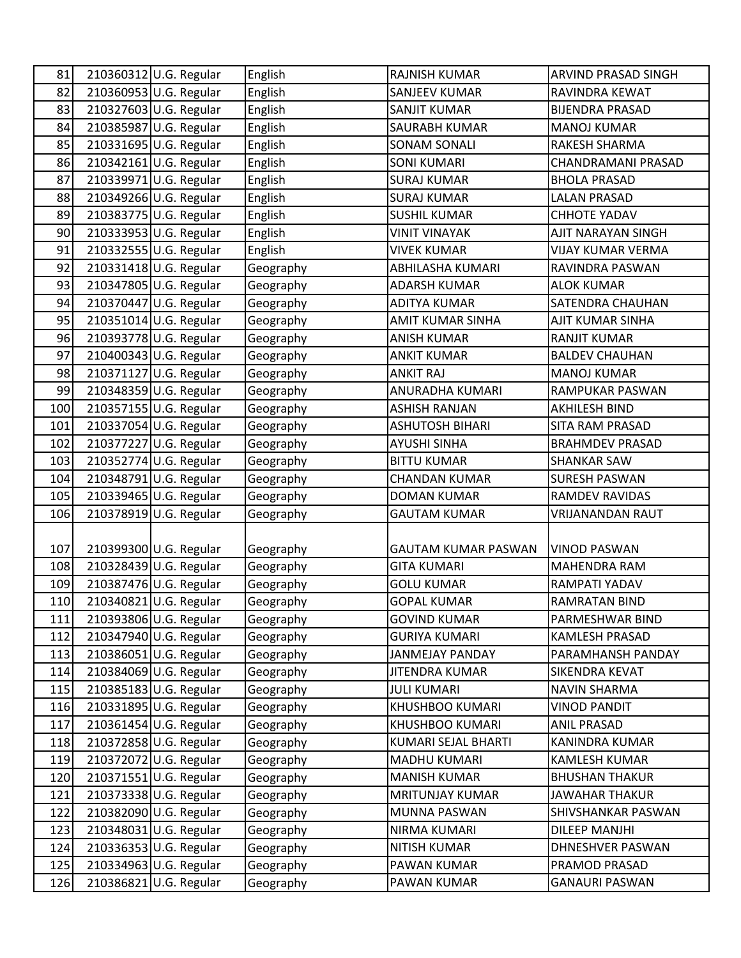| 81  | 210360312 U.G. Regular | English   | RAJNISH KUMAR              | ARVIND PRASAD SINGH      |
|-----|------------------------|-----------|----------------------------|--------------------------|
| 82  | 210360953 U.G. Regular | English   | <b>SANJEEV KUMAR</b>       | RAVINDRA KEWAT           |
| 83  | 210327603 U.G. Regular | English   | SANJIT KUMAR               | <b>BIJENDRA PRASAD</b>   |
| 84  | 210385987 U.G. Regular | English   | SAURABH KUMAR              | <b>MANOJ KUMAR</b>       |
| 85  | 210331695 U.G. Regular | English   | <b>SONAM SONALI</b>        | RAKESH SHARMA            |
| 86  | 210342161 U.G. Regular | English   | <b>SONI KUMARI</b>         | CHANDRAMANI PRASAD       |
| 87  | 210339971 U.G. Regular | English   | <b>SURAJ KUMAR</b>         | <b>BHOLA PRASAD</b>      |
| 88  | 210349266 U.G. Regular | English   | <b>SURAJ KUMAR</b>         | <b>LALAN PRASAD</b>      |
| 89  | 210383775 U.G. Regular | English   | <b>SUSHIL KUMAR</b>        | <b>CHHOTE YADAV</b>      |
| 90  | 210333953 U.G. Regular | English   | <b>VINIT VINAYAK</b>       | AJIT NARAYAN SINGH       |
| 91  | 210332555 U.G. Regular | English   | <b>VIVEK KUMAR</b>         | <b>VIJAY KUMAR VERMA</b> |
| 92  | 210331418 U.G. Regular | Geography | ABHILASHA KUMARI           | RAVINDRA PASWAN          |
| 93  | 210347805 U.G. Regular | Geography | <b>ADARSH KUMAR</b>        | <b>ALOK KUMAR</b>        |
| 94  | 210370447 U.G. Regular | Geography | <b>ADITYA KUMAR</b>        | SATENDRA CHAUHAN         |
| 95  | 210351014 U.G. Regular | Geography | <b>AMIT KUMAR SINHA</b>    | AJIT KUMAR SINHA         |
| 96  | 210393778 U.G. Regular | Geography | <b>ANISH KUMAR</b>         | <b>RANJIT KUMAR</b>      |
| 97  | 210400343 U.G. Regular | Geography | <b>ANKIT KUMAR</b>         | <b>BALDEV CHAUHAN</b>    |
| 98  | 210371127 U.G. Regular | Geography | <b>ANKIT RAJ</b>           | <b>MANOJ KUMAR</b>       |
| 99  | 210348359 U.G. Regular | Geography | ANURADHA KUMARI            | RAMPUKAR PASWAN          |
| 100 | 210357155 U.G. Regular | Geography | <b>ASHISH RANJAN</b>       | <b>AKHILESH BIND</b>     |
| 101 | 210337054 U.G. Regular | Geography | <b>ASHUTOSH BIHARI</b>     | <b>SITA RAM PRASAD</b>   |
| 102 | 210377227 U.G. Regular | Geography | <b>AYUSHI SINHA</b>        | <b>BRAHMDEV PRASAD</b>   |
| 103 | 210352774 U.G. Regular | Geography | <b>BITTU KUMAR</b>         | <b>SHANKAR SAW</b>       |
| 104 | 210348791 U.G. Regular | Geography | <b>CHANDAN KUMAR</b>       | <b>SURESH PASWAN</b>     |
| 105 | 210339465 U.G. Regular | Geography | <b>DOMAN KUMAR</b>         | <b>RAMDEV RAVIDAS</b>    |
| 106 | 210378919 U.G. Regular | Geography | <b>GAUTAM KUMAR</b>        | <b>VRIJANANDAN RAUT</b>  |
|     |                        |           |                            |                          |
| 107 | 210399300 U.G. Regular | Geography | <b>GAUTAM KUMAR PASWAN</b> | <b>VINOD PASWAN</b>      |
| 108 | 210328439 U.G. Regular | Geography | <b>GITA KUMARI</b>         | <b>MAHENDRA RAM</b>      |
| 109 | 210387476 U.G. Regular | Geography | <b>GOLU KUMAR</b>          | RAMPATI YADAV            |
| 110 | 210340821 U.G. Regular | Geography | <b>GOPAL KUMAR</b>         | <b>RAMRATAN BIND</b>     |
| 111 | 210393806 U.G. Regular | Geography | <b>GOVIND KUMAR</b>        | PARMESHWAR BIND          |
| 112 | 210347940 U.G. Regular | Geography | <b>GURIYA KUMARI</b>       | KAMLESH PRASAD           |
| 113 | 210386051 U.G. Regular | Geography | <b>JANMEJAY PANDAY</b>     | PARAMHANSH PANDAY        |
| 114 | 210384069 U.G. Regular | Geography | <b>JITENDRA KUMAR</b>      | SIKENDRA KEVAT           |
| 115 | 210385183 U.G. Regular | Geography | <b>JULI KUMARI</b>         | <b>NAVIN SHARMA</b>      |
| 116 | 210331895 U.G. Regular | Geography | KHUSHBOO KUMARI            | <b>VINOD PANDIT</b>      |
| 117 | 210361454 U.G. Regular | Geography | KHUSHBOO KUMARI            | <b>ANIL PRASAD</b>       |
| 118 | 210372858 U.G. Regular | Geography | KUMARI SEJAL BHARTI        | KANINDRA KUMAR           |
| 119 | 210372072 U.G. Regular | Geography | MADHU KUMARI               | <b>KAMLESH KUMAR</b>     |
| 120 | 210371551 U.G. Regular | Geography | <b>MANISH KUMAR</b>        | <b>BHUSHAN THAKUR</b>    |
| 121 | 210373338 U.G. Regular | Geography | <b>MRITUNJAY KUMAR</b>     | <b>JAWAHAR THAKUR</b>    |
| 122 | 210382090 U.G. Regular | Geography | MUNNA PASWAN               | SHIVSHANKAR PASWAN       |
| 123 | 210348031 U.G. Regular | Geography | NIRMA KUMARI               | DILEEP MANJHI            |
| 124 | 210336353 U.G. Regular | Geography | NITISH KUMAR               | DHNESHVER PASWAN         |
| 125 | 210334963 U.G. Regular | Geography | PAWAN KUMAR                | PRAMOD PRASAD            |
| 126 | 210386821 U.G. Regular | Geography | PAWAN KUMAR                | <b>GANAURI PASWAN</b>    |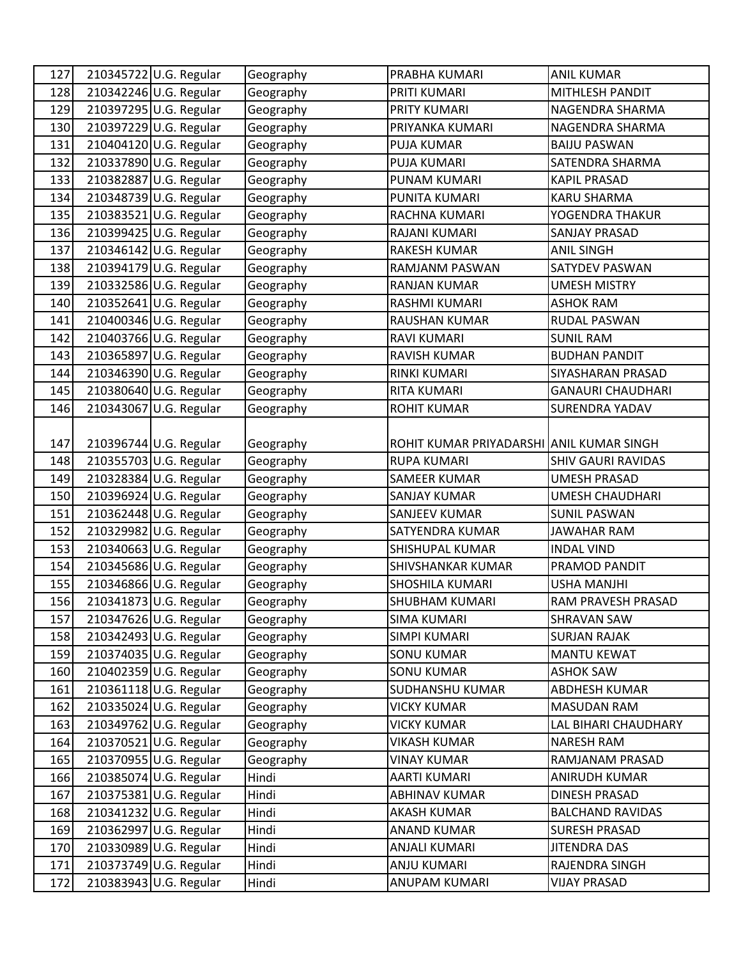| 127 | 210345722 U.G. Regular | Geography | PRABHA KUMARI                            | <b>ANIL KUMAR</b>         |
|-----|------------------------|-----------|------------------------------------------|---------------------------|
| 128 | 210342246 U.G. Regular | Geography | PRITI KUMARI                             | MITHLESH PANDIT           |
| 129 | 210397295 U.G. Regular | Geography | PRITY KUMARI                             | NAGENDRA SHARMA           |
| 130 | 210397229 U.G. Regular | Geography | PRIYANKA KUMARI                          | NAGENDRA SHARMA           |
| 131 | 210404120 U.G. Regular | Geography | <b>PUJA KUMAR</b>                        | <b>BAIJU PASWAN</b>       |
| 132 | 210337890 U.G. Regular | Geography | <b>PUJA KUMARI</b>                       | SATENDRA SHARMA           |
| 133 | 210382887 U.G. Regular | Geography | <b>PUNAM KUMARI</b>                      | <b>KAPIL PRASAD</b>       |
| 134 | 210348739 U.G. Regular | Geography | <b>PUNITA KUMARI</b>                     | <b>KARU SHARMA</b>        |
| 135 | 210383521 U.G. Regular | Geography | RACHNA KUMARI                            | YOGENDRA THAKUR           |
| 136 | 210399425 U.G. Regular | Geography | RAJANI KUMARI                            | <b>SANJAY PRASAD</b>      |
| 137 | 210346142 U.G. Regular | Geography | <b>RAKESH KUMAR</b>                      | <b>ANIL SINGH</b>         |
| 138 | 210394179 U.G. Regular | Geography | RAMJANM PASWAN                           | SATYDEV PASWAN            |
| 139 | 210332586 U.G. Regular | Geography | <b>RANJAN KUMAR</b>                      | <b>UMESH MISTRY</b>       |
| 140 | 210352641 U.G. Regular | Geography | RASHMI KUMARI                            | <b>ASHOK RAM</b>          |
| 141 | 210400346 U.G. Regular | Geography | RAUSHAN KUMAR                            | <b>RUDAL PASWAN</b>       |
| 142 | 210403766 U.G. Regular | Geography | <b>RAVI KUMARI</b>                       | <b>SUNIL RAM</b>          |
| 143 | 210365897 U.G. Regular | Geography | <b>RAVISH KUMAR</b>                      | <b>BUDHAN PANDIT</b>      |
| 144 | 210346390 U.G. Regular | Geography | <b>RINKI KUMARI</b>                      | <b>SIYASHARAN PRASAD</b>  |
| 145 | 210380640 U.G. Regular | Geography | <b>RITA KUMARI</b>                       | <b>GANAURI CHAUDHARI</b>  |
| 146 | 210343067 U.G. Regular | Geography | <b>ROHIT KUMAR</b>                       | <b>SURENDRA YADAV</b>     |
|     |                        |           |                                          |                           |
| 147 | 210396744 U.G. Regular | Geography | ROHIT KUMAR PRIYADARSHI ANIL KUMAR SINGH |                           |
| 148 | 210355703 U.G. Regular | Geography | <b>RUPA KUMARI</b>                       | <b>SHIV GAURI RAVIDAS</b> |
| 149 | 210328384 U.G. Regular | Geography | <b>SAMEER KUMAR</b>                      | <b>UMESH PRASAD</b>       |
| 150 | 210396924 U.G. Regular | Geography | <b>SANJAY KUMAR</b>                      | <b>UMESH CHAUDHARI</b>    |
| 151 | 210362448 U.G. Regular | Geography | <b>SANJEEV KUMAR</b>                     | <b>SUNIL PASWAN</b>       |
| 152 | 210329982 U.G. Regular | Geography | SATYENDRA KUMAR                          | <b>JAWAHAR RAM</b>        |
| 153 | 210340663 U.G. Regular | Geography | SHISHUPAL KUMAR                          | <b>INDAL VIND</b>         |
| 154 | 210345686 U.G. Regular | Geography | SHIVSHANKAR KUMAR                        | PRAMOD PANDIT             |
| 155 | 210346866 U.G. Regular | Geography | SHOSHILA KUMARI                          | <b>USHA MANJHI</b>        |
| 156 | 210341873 U.G. Regular | Geography | <b>SHUBHAM KUMARI</b>                    | <b>RAM PRAVESH PRASAD</b> |
| 157 | 210347626 U.G. Regular | Geography | <b>SIMA KUMARI</b>                       | SHRAVAN SAW               |
| 158 | 210342493 U.G. Regular | Geography | SIMPI KUMARI                             | <b>SURJAN RAJAK</b>       |
| 159 | 210374035 U.G. Regular | Geography | <b>SONU KUMAR</b>                        | <b>MANTU KEWAT</b>        |
| 160 | 210402359 U.G. Regular | Geography | <b>SONU KUMAR</b>                        | <b>ASHOK SAW</b>          |
| 161 | 210361118 U.G. Regular | Geography | SUDHANSHU KUMAR                          | ABDHESH KUMAR             |
| 162 | 210335024 U.G. Regular | Geography | <b>VICKY KUMAR</b>                       | <b>MASUDAN RAM</b>        |
| 163 | 210349762 U.G. Regular | Geography | <b>VICKY KUMAR</b>                       | LAL BIHARI CHAUDHARY      |
| 164 | 210370521 U.G. Regular | Geography | <b>VIKASH KUMAR</b>                      | <b>NARESH RAM</b>         |
| 165 | 210370955 U.G. Regular | Geography | <b>VINAY KUMAR</b>                       | RAMJANAM PRASAD           |
| 166 | 210385074 U.G. Regular | Hindi     | <b>AARTI KUMARI</b>                      | ANIRUDH KUMAR             |
| 167 | 210375381 U.G. Regular | Hindi     | <b>ABHINAV KUMAR</b>                     | <b>DINESH PRASAD</b>      |
| 168 | 210341232 U.G. Regular | Hindi     | AKASH KUMAR                              | <b>BALCHAND RAVIDAS</b>   |
| 169 | 210362997 U.G. Regular | Hindi     | <b>ANAND KUMAR</b>                       | <b>SURESH PRASAD</b>      |
| 170 | 210330989 U.G. Regular | Hindi     | <b>ANJALI KUMARI</b>                     | <b>JITENDRA DAS</b>       |
| 171 | 210373749 U.G. Regular | Hindi     | <b>ANJU KUMARI</b>                       | RAJENDRA SINGH            |
| 172 | 210383943 U.G. Regular | Hindi     | ANUPAM KUMARI                            | <b>VIJAY PRASAD</b>       |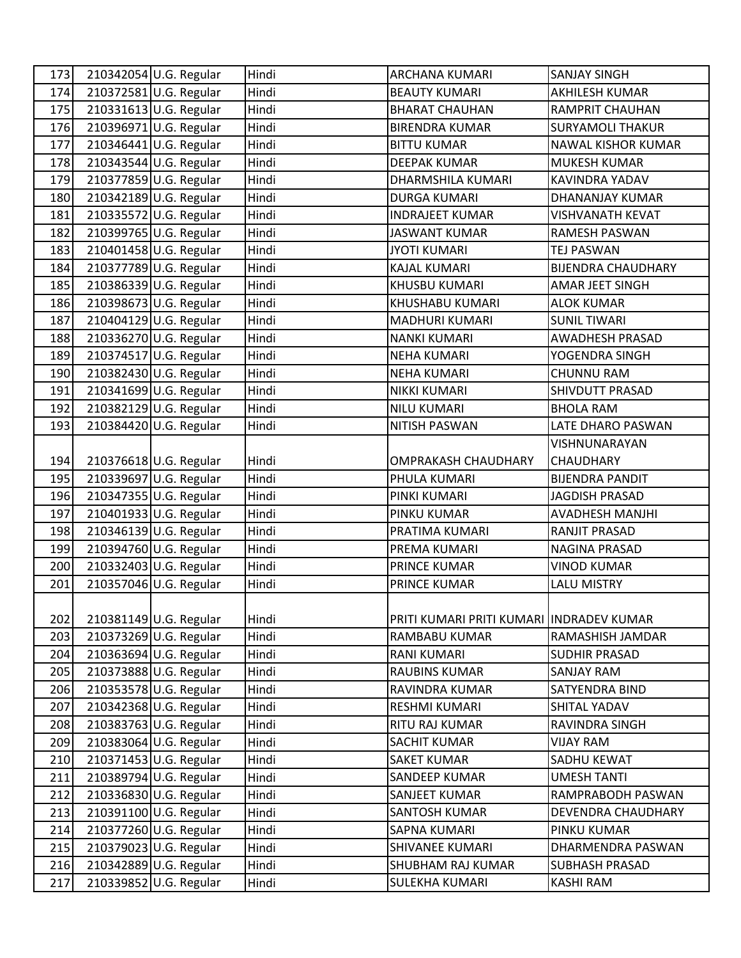| 173 | 210342054 U.G. Regular | Hindi | ARCHANA KUMARI                           | <b>SANJAY SINGH</b>       |
|-----|------------------------|-------|------------------------------------------|---------------------------|
| 174 | 210372581 U.G. Regular | Hindi | <b>BEAUTY KUMARI</b>                     | AKHILESH KUMAR            |
| 175 | 210331613 U.G. Regular | Hindi | <b>BHARAT CHAUHAN</b>                    | RAMPRIT CHAUHAN           |
| 176 | 210396971 U.G. Regular | Hindi | <b>BIRENDRA KUMAR</b>                    | <b>SURYAMOLI THAKUR</b>   |
| 177 | 210346441 U.G. Regular | Hindi | <b>BITTU KUMAR</b>                       | <b>NAWAL KISHOR KUMAR</b> |
| 178 | 210343544 U.G. Regular | Hindi | <b>DEEPAK KUMAR</b>                      | <b>MUKESH KUMAR</b>       |
| 179 | 210377859 U.G. Regular | Hindi | DHARMSHILA KUMARI                        | KAVINDRA YADAV            |
| 180 | 210342189 U.G. Regular | Hindi | <b>DURGA KUMARI</b>                      | <b>DHANANJAY KUMAR</b>    |
| 181 | 210335572 U.G. Regular | Hindi | <b>INDRAJEET KUMAR</b>                   | <b>VISHVANATH KEVAT</b>   |
| 182 | 210399765 U.G. Regular | Hindi | <b>JASWANT KUMAR</b>                     | RAMESH PASWAN             |
| 183 | 210401458 U.G. Regular | Hindi | <b>JYOTI KUMARI</b>                      | <b>TEJ PASWAN</b>         |
| 184 | 210377789 U.G. Regular | Hindi | <b>KAJAL KUMARI</b>                      | <b>BIJENDRA CHAUDHARY</b> |
| 185 | 210386339 U.G. Regular | Hindi | <b>KHUSBU KUMARI</b>                     | AMAR JEET SINGH           |
| 186 | 210398673 U.G. Regular | Hindi | KHUSHABU KUMARI                          | <b>ALOK KUMAR</b>         |
| 187 | 210404129 U.G. Regular | Hindi | <b>MADHURI KUMARI</b>                    | <b>SUNIL TIWARI</b>       |
| 188 | 210336270 U.G. Regular | Hindi | <b>NANKI KUMARI</b>                      | <b>AWADHESH PRASAD</b>    |
| 189 | 210374517 U.G. Regular | Hindi | <b>NEHA KUMARI</b>                       | YOGENDRA SINGH            |
| 190 | 210382430 U.G. Regular | Hindi | <b>NEHA KUMARI</b>                       | <b>CHUNNU RAM</b>         |
| 191 | 210341699 U.G. Regular | Hindi | <b>NIKKI KUMARI</b>                      | <b>SHIVDUTT PRASAD</b>    |
| 192 | 210382129 U.G. Regular | Hindi | <b>NILU KUMARI</b>                       | <b>BHOLA RAM</b>          |
| 193 | 210384420 U.G. Regular | Hindi | NITISH PASWAN                            | LATE DHARO PASWAN         |
|     |                        |       |                                          | VISHNUNARAYAN             |
| 194 | 210376618 U.G. Regular | Hindi | <b>OMPRAKASH CHAUDHARY</b>               | CHAUDHARY                 |
| 195 | 210339697 U.G. Regular | Hindi | PHULA KUMARI                             | <b>BIJENDRA PANDIT</b>    |
| 196 | 210347355 U.G. Regular | Hindi | PINKI KUMARI                             | <b>JAGDISH PRASAD</b>     |
| 197 | 210401933 U.G. Regular | Hindi | PINKU KUMAR                              | <b>AVADHESH MANJHI</b>    |
| 198 | 210346139 U.G. Regular | Hindi | PRATIMA KUMARI                           | RANJIT PRASAD             |
| 199 | 210394760 U.G. Regular | Hindi | PREMA KUMARI                             | NAGINA PRASAD             |
| 200 | 210332403 U.G. Regular | Hindi | <b>PRINCE KUMAR</b>                      | <b>VINOD KUMAR</b>        |
| 201 | 210357046 U.G. Regular | Hindi | PRINCE KUMAR                             | <b>LALU MISTRY</b>        |
|     |                        |       |                                          |                           |
| 202 | 210381149 U.G. Regular | Hindi | PRITI KUMARI PRITI KUMARI INDRADEV KUMAR |                           |
| 203 | 210373269 U.G. Regular | Hindi | RAMBABU KUMAR                            | RAMASHISH JAMDAR          |
| 204 | 210363694 U.G. Regular | Hindi | <b>RANI KUMARI</b>                       | <b>SUDHIR PRASAD</b>      |
| 205 | 210373888 U.G. Regular | Hindi | <b>RAUBINS KUMAR</b>                     | <b>SANJAY RAM</b>         |
| 206 | 210353578 U.G. Regular | Hindi | RAVINDRA KUMAR                           | SATYENDRA BIND            |
| 207 | 210342368 U.G. Regular | Hindi | RESHMI KUMARI                            | SHITAL YADAV              |
| 208 | 210383763 U.G. Regular | Hindi | RITU RAJ KUMAR                           | RAVINDRA SINGH            |
| 209 | 210383064 U.G. Regular | Hindi | SACHIT KUMAR                             | <b>VIJAY RAM</b>          |
| 210 | 210371453 U.G. Regular | Hindi | <b>SAKET KUMAR</b>                       | SADHU KEWAT               |
| 211 | 210389794 U.G. Regular | Hindi | SANDEEP KUMAR                            | <b>UMESH TANTI</b>        |
| 212 | 210336830 U.G. Regular | Hindi | SANJEET KUMAR                            | RAMPRABODH PASWAN         |
| 213 | 210391100 U.G. Regular | Hindi | <b>SANTOSH KUMAR</b>                     | DEVENDRA CHAUDHARY        |
| 214 | 210377260 U.G. Regular | Hindi | SAPNA KUMARI                             | PINKU KUMAR               |
| 215 | 210379023 U.G. Regular | Hindi | SHIVANEE KUMARI                          | DHARMENDRA PASWAN         |
| 216 | 210342889 U.G. Regular | Hindi | SHUBHAM RAJ KUMAR                        | <b>SUBHASH PRASAD</b>     |
| 217 | 210339852 U.G. Regular | Hindi | SULEKHA KUMARI                           | <b>KASHI RAM</b>          |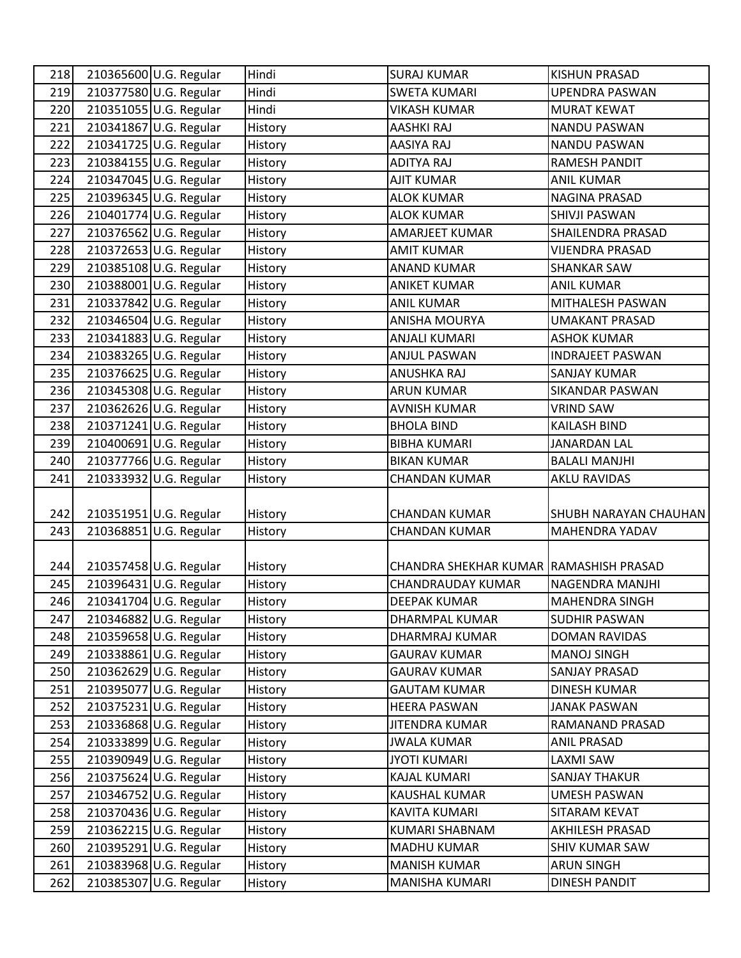| 218        | 210365600 U.G. Regular                           | Hindi              | <b>SURAJ KUMAR</b>                     | <b>KISHUN PRASAD</b>               |
|------------|--------------------------------------------------|--------------------|----------------------------------------|------------------------------------|
| 219        | 210377580 U.G. Regular                           | Hindi              | <b>SWETA KUMARI</b>                    | <b>UPENDRA PASWAN</b>              |
| 220        | 210351055 U.G. Regular                           | Hindi              | <b>VIKASH KUMAR</b>                    | <b>MURAT KEWAT</b>                 |
| 221        | 210341867 U.G. Regular                           | History            | AASHKI RAJ                             | <b>NANDU PASWAN</b>                |
| 222        | 210341725 U.G. Regular                           | History            | AASIYA RAJ                             | <b>NANDU PASWAN</b>                |
| 223        | 210384155 U.G. Regular                           | History            | <b>ADITYA RAJ</b>                      | <b>RAMESH PANDIT</b>               |
| 224        | 210347045 U.G. Regular                           | History            | <b>AJIT KUMAR</b>                      | <b>ANIL KUMAR</b>                  |
| 225        | 210396345 U.G. Regular                           | History            | <b>ALOK KUMAR</b>                      | NAGINA PRASAD                      |
| 226        | 210401774 U.G. Regular                           | History            | <b>ALOK KUMAR</b>                      | SHIVJI PASWAN                      |
| 227        | 210376562 U.G. Regular                           | History            | <b>AMARJEET KUMAR</b>                  | SHAILENDRA PRASAD                  |
| 228        | 210372653 U.G. Regular                           | History            | <b>AMIT KUMAR</b>                      | <b>VIJENDRA PRASAD</b>             |
| 229        | 210385108 U.G. Regular                           | History            | <b>ANAND KUMAR</b>                     | <b>SHANKAR SAW</b>                 |
| 230        | 210388001 U.G. Regular                           | History            | <b>ANIKET KUMAR</b>                    | <b>ANIL KUMAR</b>                  |
| 231        | 210337842 U.G. Regular                           | History            | <b>ANIL KUMAR</b>                      | MITHALESH PASWAN                   |
| 232        | 210346504 U.G. Regular                           | History            | <b>ANISHA MOURYA</b>                   | <b>UMAKANT PRASAD</b>              |
| 233        | 210341883 U.G. Regular                           | History            | <b>ANJALI KUMARI</b>                   | <b>ASHOK KUMAR</b>                 |
| 234        | 210383265 U.G. Regular                           | History            | <b>ANJUL PASWAN</b>                    | <b>INDRAJEET PASWAN</b>            |
| 235        | 210376625 U.G. Regular                           | History            | ANUSHKA RAJ                            | <b>SANJAY KUMAR</b>                |
| 236        | 210345308 U.G. Regular                           | History            | <b>ARUN KUMAR</b>                      | <b>SIKANDAR PASWAN</b>             |
| 237        | 210362626 U.G. Regular                           | History            | <b>AVNISH KUMAR</b>                    | <b>VRIND SAW</b>                   |
| 238        | 210371241 U.G. Regular                           | History            | <b>BHOLA BIND</b>                      | <b>KAILASH BIND</b>                |
| 239        | 210400691 U.G. Regular                           | History            | <b>BIBHA KUMARI</b>                    | <b>JANARDAN LAL</b>                |
| 240        | 210377766 U.G. Regular                           | History            | <b>BIKAN KUMAR</b>                     | <b>BALALI MANJHI</b>               |
| 241        | 210333932 U.G. Regular                           | History            | <b>CHANDAN KUMAR</b>                   | <b>AKLU RAVIDAS</b>                |
|            |                                                  |                    |                                        |                                    |
| 242        | 210351951 U.G. Regular                           | History            | <b>CHANDAN KUMAR</b>                   | SHUBH NARAYAN CHAUHAN              |
| 243        | 210368851 U.G. Regular                           | History            | <b>CHANDAN KUMAR</b>                   | MAHENDRA YADAV                     |
|            |                                                  |                    |                                        |                                    |
| 244        | 210357458 U.G. Regular                           | History            | CHANDRA SHEKHAR KUMAR RAMASHISH PRASAD |                                    |
| 245        | 210396431 U.G. Regular                           | History            | <b>CHANDRAUDAY KUMAR</b>               | NAGENDRA MANJHI                    |
| 246        | 210341704 U.G. Regular                           | History            | <b>DEEPAK KUMAR</b>                    | <b>MAHENDRA SINGH</b>              |
| 247        | 210346882 U.G. Regular                           | History            | DHARMPAL KUMAR                         | SUDHIR PASWAN                      |
| 248        | 210359658 U.G. Regular                           | History            | DHARMRAJ KUMAR                         | <b>DOMAN RAVIDAS</b>               |
| 249        | 210338861 U.G. Regular                           | History            | <b>GAURAV KUMAR</b>                    | <b>MANOJ SINGH</b>                 |
| 250        |                                                  |                    | <b>GAURAV KUMAR</b>                    | <b>SANJAY PRASAD</b>               |
| 251        | 210362629 U.G. Regular                           | History            |                                        |                                    |
| 252        | 210395077 U.G. Regular                           | History            | <b>GAUTAM KUMAR</b>                    | <b>DINESH KUMAR</b>                |
|            | 210375231 U.G. Regular                           | History            | <b>HEERA PASWAN</b>                    | <b>JANAK PASWAN</b>                |
| 253        | 210336868 U.G. Regular                           | History            | <b>JITENDRA KUMAR</b>                  | RAMANAND PRASAD                    |
| 254        | 210333899 U.G. Regular                           | History            | <b>JWALA KUMAR</b>                     | <b>ANIL PRASAD</b>                 |
| 255        | 210390949 U.G. Regular                           | History            | <b>JYOTI KUMARI</b>                    | <b>LAXMI SAW</b>                   |
| 256        | 210375624 U.G. Regular                           | History            | KAJAL KUMARI                           | <b>SANJAY THAKUR</b>               |
| 257        | 210346752 U.G. Regular                           | History            | KAUSHAL KUMAR                          | UMESH PASWAN                       |
| 258        | 210370436 U.G. Regular                           | History            | KAVITA KUMARI                          | SITARAM KEVAT                      |
| 259        | 210362215 U.G. Regular                           | History            | KUMARI SHABNAM                         | AKHILESH PRASAD                    |
| 260        | 210395291 U.G. Regular                           | History            | <b>MADHU KUMAR</b>                     | SHIV KUMAR SAW                     |
| 261<br>262 | 210383968 U.G. Regular<br>210385307 U.G. Regular | History<br>History | <b>MANISH KUMAR</b><br>MANISHA KUMARI  | <b>ARUN SINGH</b><br>DINESH PANDIT |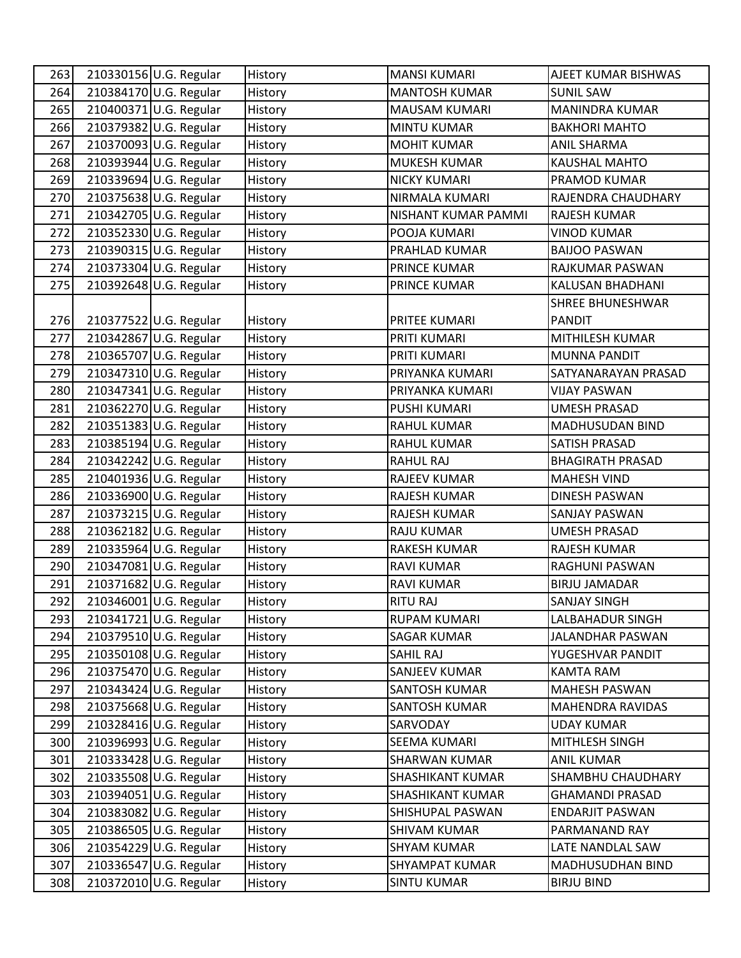| 263 | 210330156 U.G. Regular | History | <b>MANSI KUMARI</b>   | AJEET KUMAR BISHWAS     |
|-----|------------------------|---------|-----------------------|-------------------------|
| 264 | 210384170 U.G. Regular | History | <b>MANTOSH KUMAR</b>  | <b>SUNIL SAW</b>        |
| 265 | 210400371 U.G. Regular | History | <b>MAUSAM KUMARI</b>  | MANINDRA KUMAR          |
| 266 | 210379382 U.G. Regular | History | <b>MINTU KUMAR</b>    | <b>BAKHORI MAHTO</b>    |
| 267 | 210370093 U.G. Regular | History | <b>MOHIT KUMAR</b>    | <b>ANIL SHARMA</b>      |
| 268 | 210393944 U.G. Regular | History | <b>MUKESH KUMAR</b>   | <b>KAUSHAL MAHTO</b>    |
| 269 | 210339694 U.G. Regular | History | <b>NICKY KUMARI</b>   | PRAMOD KUMAR            |
| 270 | 210375638 U.G. Regular | History | NIRMALA KUMARI        | RAJENDRA CHAUDHARY      |
| 271 | 210342705 U.G. Regular | History | NISHANT KUMAR PAMMI   | <b>RAJESH KUMAR</b>     |
| 272 | 210352330 U.G. Regular | History | POOJA KUMARI          | <b>VINOD KUMAR</b>      |
| 273 | 210390315 U.G. Regular | History | PRAHLAD KUMAR         | <b>BAIJOO PASWAN</b>    |
| 274 | 210373304 U.G. Regular | History | PRINCE KUMAR          | RAJKUMAR PASWAN         |
| 275 | 210392648 U.G. Regular | History | <b>PRINCE KUMAR</b>   | KALUSAN BHADHANI        |
|     |                        |         |                       | <b>SHREE BHUNESHWAR</b> |
| 276 | 210377522 U.G. Regular | History | PRITEE KUMARI         | <b>PANDIT</b>           |
| 277 | 210342867 U.G. Regular | History | PRITI KUMARI          | MITHILESH KUMAR         |
| 278 | 210365707 U.G. Regular | History | PRITI KUMARI          | <b>MUNNA PANDIT</b>     |
| 279 | 210347310 U.G. Regular | History | PRIYANKA KUMARI       | SATYANARAYAN PRASAD     |
| 280 | 210347341 U.G. Regular | History | PRIYANKA KUMARI       | <b>VIJAY PASWAN</b>     |
| 281 | 210362270 U.G. Regular | History | PUSHI KUMARI          | <b>UMESH PRASAD</b>     |
| 282 | 210351383 U.G. Regular | History | <b>RAHUL KUMAR</b>    | <b>MADHUSUDAN BIND</b>  |
| 283 | 210385194 U.G. Regular | History | <b>RAHUL KUMAR</b>    | SATISH PRASAD           |
| 284 | 210342242 U.G. Regular | History | <b>RAHUL RAJ</b>      | <b>BHAGIRATH PRASAD</b> |
| 285 | 210401936 U.G. Regular | History | <b>RAJEEV KUMAR</b>   | <b>MAHESH VIND</b>      |
| 286 | 210336900 U.G. Regular | History | <b>RAJESH KUMAR</b>   | <b>DINESH PASWAN</b>    |
| 287 | 210373215 U.G. Regular | History | <b>RAJESH KUMAR</b>   | <b>SANJAY PASWAN</b>    |
| 288 | 210362182 U.G. Regular | History | <b>RAJU KUMAR</b>     | <b>UMESH PRASAD</b>     |
| 289 | 210335964 U.G. Regular | History | <b>RAKESH KUMAR</b>   | <b>RAJESH KUMAR</b>     |
| 290 | 210347081 U.G. Regular | History | <b>RAVI KUMAR</b>     | RAGHUNI PASWAN          |
| 291 | 210371682 U.G. Regular | History | <b>RAVI KUMAR</b>     | <b>BIRJU JAMADAR</b>    |
| 292 | 210346001 U.G. Regular | History | <b>RITU RAJ</b>       | <b>SANJAY SINGH</b>     |
| 293 | 210341721 U.G. Regular | History | <b>RUPAM KUMARI</b>   | LALBAHADUR SINGH        |
| 294 | 210379510 U.G. Regular | History | <b>SAGAR KUMAR</b>    | JALANDHAR PASWAN        |
| 295 | 210350108 U.G. Regular | History | SAHIL RAJ             | YUGESHVAR PANDIT        |
| 296 | 210375470 U.G. Regular | History | SANJEEV KUMAR         | <b>KAMTA RAM</b>        |
| 297 | 210343424 U.G. Regular | History | <b>SANTOSH KUMAR</b>  | <b>MAHESH PASWAN</b>    |
| 298 | 210375668 U.G. Regular | History | <b>SANTOSH KUMAR</b>  | MAHENDRA RAVIDAS        |
| 299 | 210328416 U.G. Regular | History | SARVODAY              | <b>UDAY KUMAR</b>       |
| 300 | 210396993 U.G. Regular | History | SEEMA KUMARI          | MITHLESH SINGH          |
| 301 | 210333428 U.G. Regular | History | <b>SHARWAN KUMAR</b>  | <b>ANIL KUMAR</b>       |
| 302 | 210335508 U.G. Regular | History | SHASHIKANT KUMAR      | SHAMBHU CHAUDHARY       |
| 303 | 210394051 U.G. Regular | History | SHASHIKANT KUMAR      | <b>GHAMANDI PRASAD</b>  |
| 304 | 210383082 U.G. Regular | History | SHISHUPAL PASWAN      | <b>ENDARJIT PASWAN</b>  |
| 305 | 210386505 U.G. Regular | History | <b>SHIVAM KUMAR</b>   | PARMANAND RAY           |
| 306 | 210354229 U.G. Regular | History | <b>SHYAM KUMAR</b>    | LATE NANDLAL SAW        |
| 307 | 210336547 U.G. Regular | History | <b>SHYAMPAT KUMAR</b> | MADHUSUDHAN BIND        |
| 308 | 210372010 U.G. Regular | History | <b>SINTU KUMAR</b>    | <b>BIRJU BIND</b>       |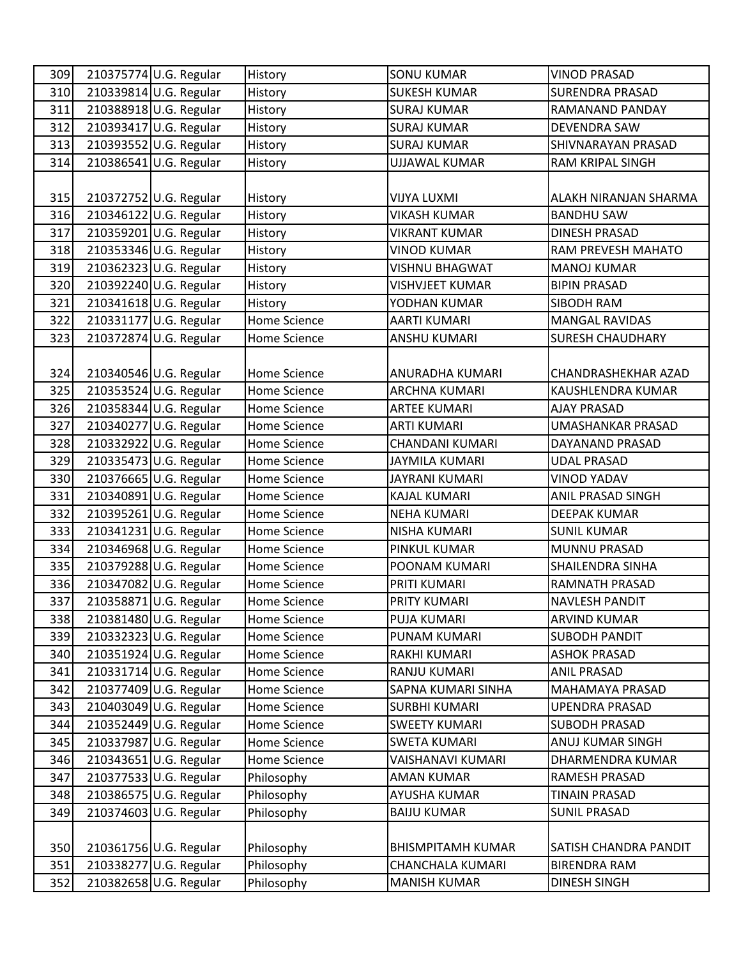| 309 | 210375774 U.G. Regular | History             | <b>SONU KUMAR</b>        | <b>VINOD PRASAD</b>      |
|-----|------------------------|---------------------|--------------------------|--------------------------|
| 310 | 210339814 U.G. Regular | History             | <b>SUKESH KUMAR</b>      | <b>SURENDRA PRASAD</b>   |
| 311 | 210388918 U.G. Regular | History             | <b>SURAJ KUMAR</b>       | RAMANAND PANDAY          |
| 312 | 210393417 U.G. Regular | History             | <b>SURAJ KUMAR</b>       | <b>DEVENDRA SAW</b>      |
| 313 | 210393552 U.G. Regular | History             | <b>SURAJ KUMAR</b>       | SHIVNARAYAN PRASAD       |
| 314 | 210386541 U.G. Regular | History             | <b>UJJAWAL KUMAR</b>     | RAM KRIPAL SINGH         |
|     |                        |                     |                          |                          |
| 315 | 210372752 U.G. Regular | History             | VIJYA LUXMI              | ALAKH NIRANJAN SHARMA    |
| 316 | 210346122 U.G. Regular | History             | <b>VIKASH KUMAR</b>      | <b>BANDHU SAW</b>        |
| 317 | 210359201 U.G. Regular | History             | <b>VIKRANT KUMAR</b>     | <b>DINESH PRASAD</b>     |
| 318 | 210353346 U.G. Regular | History             | <b>VINOD KUMAR</b>       | RAM PREVESH MAHATO       |
| 319 | 210362323 U.G. Regular | History             | <b>VISHNU BHAGWAT</b>    | <b>MANOJ KUMAR</b>       |
| 320 | 210392240 U.G. Regular | History             | VISHVJEET KUMAR          | <b>BIPIN PRASAD</b>      |
| 321 | 210341618 U.G. Regular | History             | YODHAN KUMAR             | SIBODH RAM               |
| 322 | 210331177 U.G. Regular | Home Science        | <b>AARTI KUMARI</b>      | <b>MANGAL RAVIDAS</b>    |
| 323 | 210372874 U.G. Regular | Home Science        | <b>ANSHU KUMARI</b>      | <b>SURESH CHAUDHARY</b>  |
|     |                        |                     |                          |                          |
| 324 | 210340546 U.G. Regular | Home Science        | ANURADHA KUMARI          | CHANDRASHEKHAR AZAD      |
| 325 | 210353524 U.G. Regular | <b>Home Science</b> | <b>ARCHNA KUMARI</b>     | KAUSHLENDRA KUMAR        |
| 326 | 210358344 U.G. Regular | Home Science        | <b>ARTEE KUMARI</b>      | <b>AJAY PRASAD</b>       |
| 327 | 210340277 U.G. Regular | Home Science        | <b>ARTI KUMARI</b>       | <b>UMASHANKAR PRASAD</b> |
| 328 | 210332922 U.G. Regular | <b>Home Science</b> | <b>CHANDANI KUMARI</b>   | DAYANAND PRASAD          |
| 329 | 210335473 U.G. Regular | Home Science        | <b>JAYMILA KUMARI</b>    | <b>UDAL PRASAD</b>       |
| 330 | 210376665 U.G. Regular | Home Science        | <b>JAYRANI KUMARI</b>    | <b>VINOD YADAV</b>       |
| 331 | 210340891 U.G. Regular | Home Science        | <b>KAJAL KUMARI</b>      | ANIL PRASAD SINGH        |
| 332 | 210395261 U.G. Regular | Home Science        | <b>NEHA KUMARI</b>       | <b>DEEPAK KUMAR</b>      |
| 333 | 210341231 U.G. Regular | Home Science        | <b>NISHA KUMARI</b>      | <b>SUNIL KUMAR</b>       |
| 334 | 210346968 U.G. Regular | Home Science        | PINKUL KUMAR             | MUNNU PRASAD             |
| 335 | 210379288 U.G. Regular | <b>Home Science</b> | POONAM KUMARI            | <b>SHAILENDRA SINHA</b>  |
| 336 | 210347082 U.G. Regular | Home Science        | PRITI KUMARI             | <b>RAMNATH PRASAD</b>    |
| 337 | 210358871 U.G. Regular | Home Science        | <b>PRITY KUMARI</b>      | <b>NAVLESH PANDIT</b>    |
| 338 | 210381480 U.G. Regular | Home Science        | PUJA KUMARI              | <b>ARVIND KUMAR</b>      |
| 339 | 210332323 U.G. Regular | Home Science        | PUNAM KUMARI             | <b>SUBODH PANDIT</b>     |
| 340 | 210351924 U.G. Regular | Home Science        | <b>RAKHI KUMARI</b>      | <b>ASHOK PRASAD</b>      |
| 341 | 210331714 U.G. Regular | Home Science        | <b>RANJU KUMARI</b>      | <b>ANIL PRASAD</b>       |
| 342 | 210377409 U.G. Regular | Home Science        | SAPNA KUMARI SINHA       | MAHAMAYA PRASAD          |
| 343 | 210403049 U.G. Regular | Home Science        | <b>SURBHI KUMARI</b>     | <b>UPENDRA PRASAD</b>    |
| 344 | 210352449 U.G. Regular | Home Science        | <b>SWEETY KUMARI</b>     | <b>SUBODH PRASAD</b>     |
| 345 | 210337987 U.G. Regular | Home Science        | <b>SWETA KUMARI</b>      | ANUJ KUMAR SINGH         |
| 346 | 210343651 U.G. Regular | Home Science        | <b>VAISHANAVI KUMARI</b> | DHARMENDRA KUMAR         |
| 347 | 210377533 U.G. Regular | Philosophy          | <b>AMAN KUMAR</b>        | RAMESH PRASAD            |
| 348 | 210386575 U.G. Regular | Philosophy          | <b>AYUSHA KUMAR</b>      | <b>TINAIN PRASAD</b>     |
| 349 | 210374603 U.G. Regular | Philosophy          | <b>BAIJU KUMAR</b>       | <b>SUNIL PRASAD</b>      |
|     |                        |                     |                          |                          |
| 350 | 210361756 U.G. Regular | Philosophy          | <b>BHISMPITAMH KUMAR</b> | SATISH CHANDRA PANDIT    |
| 351 | 210338277 U.G. Regular | Philosophy          | CHANCHALA KUMARI         | <b>BIRENDRA RAM</b>      |
| 352 | 210382658 U.G. Regular | Philosophy          | <b>MANISH KUMAR</b>      | <b>DINESH SINGH</b>      |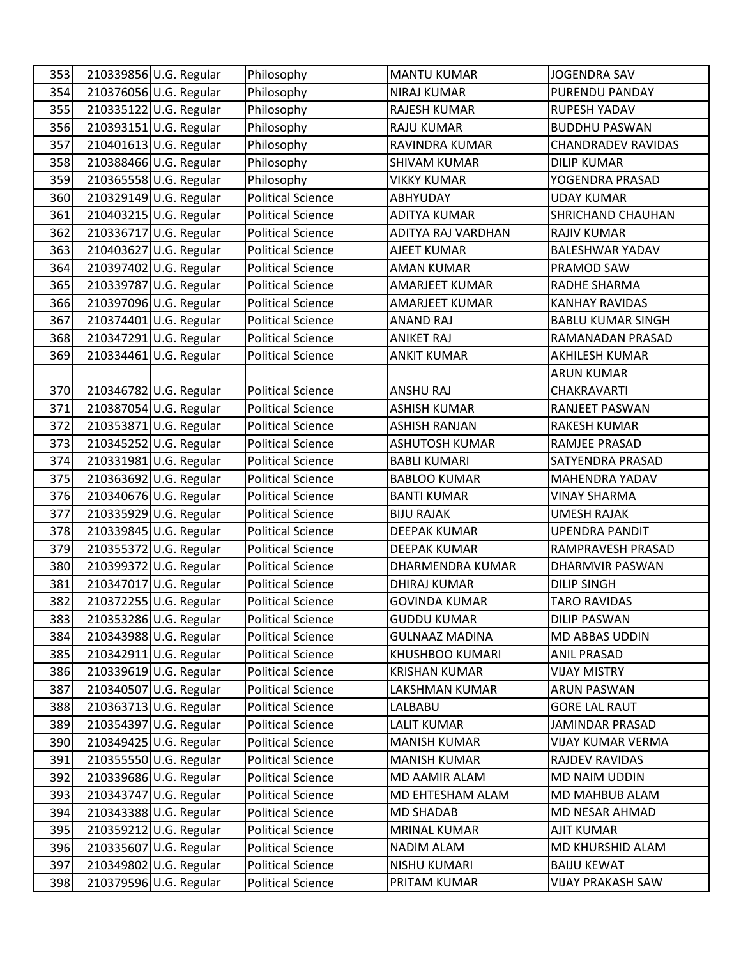| 353 | 210339856 U.G. Regular | Philosophy               | <b>MANTU KUMAR</b>    | <b>JOGENDRA SAV</b>       |
|-----|------------------------|--------------------------|-----------------------|---------------------------|
| 354 | 210376056 U.G. Regular | Philosophy               | <b>NIRAJ KUMAR</b>    | PURENDU PANDAY            |
| 355 | 210335122 U.G. Regular | Philosophy               | <b>RAJESH KUMAR</b>   | <b>RUPESH YADAV</b>       |
| 356 | 210393151 U.G. Regular | Philosophy               | <b>RAJU KUMAR</b>     | <b>BUDDHU PASWAN</b>      |
| 357 | 210401613 U.G. Regular | Philosophy               | RAVINDRA KUMAR        | <b>CHANDRADEV RAVIDAS</b> |
| 358 | 210388466 U.G. Regular | Philosophy               | <b>SHIVAM KUMAR</b>   | <b>DILIP KUMAR</b>        |
| 359 | 210365558 U.G. Regular | Philosophy               | <b>VIKKY KUMAR</b>    | YOGENDRA PRASAD           |
| 360 | 210329149 U.G. Regular | <b>Political Science</b> | ABHYUDAY              | <b>UDAY KUMAR</b>         |
| 361 | 210403215 U.G. Regular | <b>Political Science</b> | <b>ADITYA KUMAR</b>   | <b>SHRICHAND CHAUHAN</b>  |
| 362 | 210336717 U.G. Regular | <b>Political Science</b> | ADITYA RAJ VARDHAN    | <b>RAJIV KUMAR</b>        |
| 363 | 210403627 U.G. Regular | <b>Political Science</b> | AJEET KUMAR           | <b>BALESHWAR YADAV</b>    |
| 364 | 210397402 U.G. Regular | <b>Political Science</b> | <b>AMAN KUMAR</b>     | PRAMOD SAW                |
| 365 | 210339787 U.G. Regular | <b>Political Science</b> | <b>AMARJEET KUMAR</b> | RADHE SHARMA              |
| 366 | 210397096 U.G. Regular | <b>Political Science</b> | <b>AMARJEET KUMAR</b> | <b>KANHAY RAVIDAS</b>     |
| 367 | 210374401 U.G. Regular | <b>Political Science</b> | <b>ANAND RAJ</b>      | <b>BABLU KUMAR SINGH</b>  |
| 368 | 210347291 U.G. Regular | <b>Political Science</b> | <b>ANIKET RAJ</b>     | RAMANADAN PRASAD          |
| 369 | 210334461 U.G. Regular | <b>Political Science</b> | <b>ANKIT KUMAR</b>    | <b>AKHILESH KUMAR</b>     |
|     |                        |                          |                       | <b>ARUN KUMAR</b>         |
| 370 | 210346782 U.G. Regular | <b>Political Science</b> | <b>ANSHU RAJ</b>      | <b>CHAKRAVARTI</b>        |
| 371 | 210387054 U.G. Regular | <b>Political Science</b> | <b>ASHISH KUMAR</b>   | RANJEET PASWAN            |
| 372 | 210353871 U.G. Regular | <b>Political Science</b> | <b>ASHISH RANJAN</b>  | <b>RAKESH KUMAR</b>       |
| 373 | 210345252 U.G. Regular | <b>Political Science</b> | <b>ASHUTOSH KUMAR</b> | RAMJEE PRASAD             |
| 374 | 210331981 U.G. Regular | <b>Political Science</b> | <b>BABLI KUMARI</b>   | SATYENDRA PRASAD          |
| 375 | 210363692 U.G. Regular | <b>Political Science</b> | <b>BABLOO KUMAR</b>   | MAHENDRA YADAV            |
| 376 | 210340676 U.G. Regular | <b>Political Science</b> | <b>BANTI KUMAR</b>    | <b>VINAY SHARMA</b>       |
| 377 | 210335929 U.G. Regular | <b>Political Science</b> | <b>BIJU RAJAK</b>     | <b>UMESH RAJAK</b>        |
| 378 | 210339845 U.G. Regular | <b>Political Science</b> | <b>DEEPAK KUMAR</b>   | <b>UPENDRA PANDIT</b>     |
| 379 | 210355372 U.G. Regular | <b>Political Science</b> | <b>DEEPAK KUMAR</b>   | RAMPRAVESH PRASAD         |
| 380 | 210399372 U.G. Regular | <b>Political Science</b> | DHARMENDRA KUMAR      | DHARMVIR PASWAN           |
| 381 | 210347017 U.G. Regular | <b>Political Science</b> | <b>DHIRAJ KUMAR</b>   | <b>DILIP SINGH</b>        |
| 382 | 210372255 U.G. Regular | <b>Political Science</b> | <b>GOVINDA KUMAR</b>  | <b>TARO RAVIDAS</b>       |
| 383 | 210353286 U.G. Regular | <b>Political Science</b> | <b>GUDDU KUMAR</b>    | <b>DILIP PASWAN</b>       |
| 384 | 210343988 U.G. Regular | <b>Political Science</b> | <b>GULNAAZ MADINA</b> | MD ABBAS UDDIN            |
| 385 | 210342911 U.G. Regular | <b>Political Science</b> | KHUSHBOO KUMARI       | <b>ANIL PRASAD</b>        |
| 386 | 210339619 U.G. Regular | <b>Political Science</b> | <b>KRISHAN KUMAR</b>  | <b>VIJAY MISTRY</b>       |
| 387 | 210340507 U.G. Regular | <b>Political Science</b> | LAKSHMAN KUMAR        | <b>ARUN PASWAN</b>        |
| 388 | 210363713 U.G. Regular | <b>Political Science</b> | LALBABU               | <b>GORE LAL RAUT</b>      |
| 389 | 210354397 U.G. Regular | <b>Political Science</b> | <b>LALIT KUMAR</b>    | JAMINDAR PRASAD           |
| 390 | 210349425 U.G. Regular | <b>Political Science</b> | <b>MANISH KUMAR</b>   | <b>VIJAY KUMAR VERMA</b>  |
| 391 | 210355550 U.G. Regular | <b>Political Science</b> | <b>MANISH KUMAR</b>   | RAJDEV RAVIDAS            |
| 392 | 210339686 U.G. Regular | <b>Political Science</b> | MD AAMIR ALAM         | MD NAIM UDDIN             |
| 393 | 210343747 U.G. Regular | <b>Political Science</b> | MD EHTESHAM ALAM      | MD MAHBUB ALAM            |
| 394 | 210343388 U.G. Regular | <b>Political Science</b> | <b>MD SHADAB</b>      | MD NESAR AHMAD            |
| 395 | 210359212 U.G. Regular | <b>Political Science</b> | <b>MRINAL KUMAR</b>   | <b>AJIT KUMAR</b>         |
| 396 | 210335607 U.G. Regular | <b>Political Science</b> | <b>NADIM ALAM</b>     | MD KHURSHID ALAM          |
| 397 | 210349802 U.G. Regular | <b>Political Science</b> | NISHU KUMARI          | <b>BAIJU KEWAT</b>        |
| 398 | 210379596 U.G. Regular | <b>Political Science</b> | PRITAM KUMAR          | <b>VIJAY PRAKASH SAW</b>  |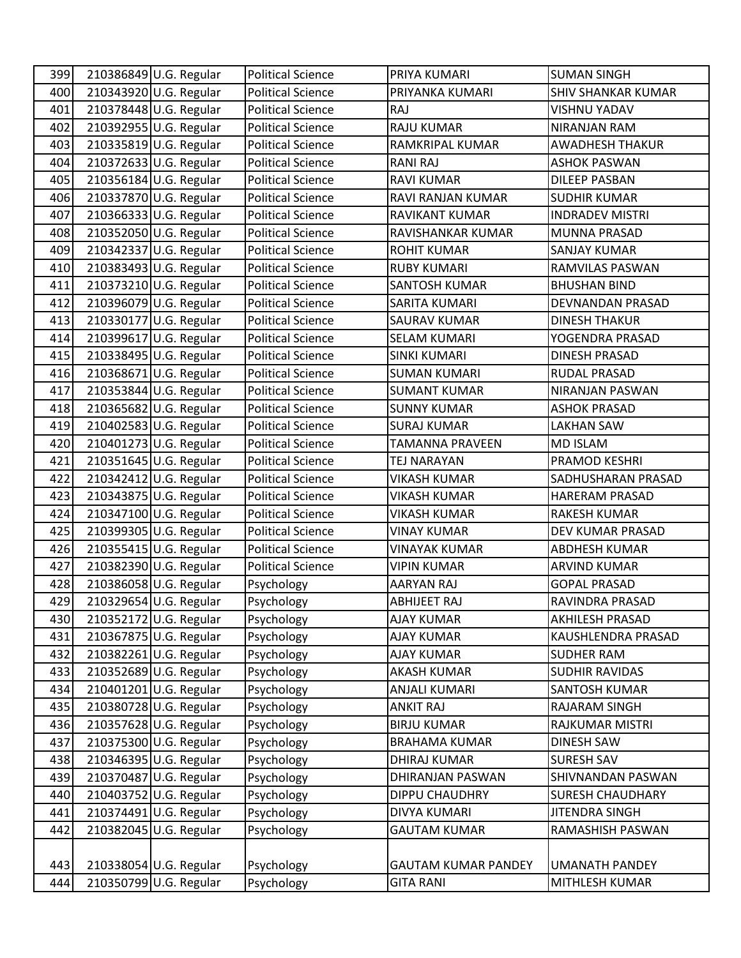| 399 | 210386849 U.G. Regular | <b>Political Science</b> | PRIYA KUMARI               | <b>SUMAN SINGH</b>        |
|-----|------------------------|--------------------------|----------------------------|---------------------------|
| 400 | 210343920 U.G. Regular | <b>Political Science</b> | PRIYANKA KUMARI            | <b>SHIV SHANKAR KUMAR</b> |
| 401 | 210378448 U.G. Regular | <b>Political Science</b> | RAJ                        | <b>VISHNU YADAV</b>       |
| 402 | 210392955 U.G. Regular | <b>Political Science</b> | <b>RAJU KUMAR</b>          | NIRANJAN RAM              |
| 403 | 210335819 U.G. Regular | <b>Political Science</b> | RAMKRIPAL KUMAR            | <b>AWADHESH THAKUR</b>    |
| 404 | 210372633 U.G. Regular | <b>Political Science</b> | <b>RANI RAJ</b>            | ASHOK PASWAN              |
| 405 | 210356184 U.G. Regular | <b>Political Science</b> | <b>RAVI KUMAR</b>          | <b>DILEEP PASBAN</b>      |
| 406 | 210337870 U.G. Regular | <b>Political Science</b> | RAVI RANJAN KUMAR          | <b>SUDHIR KUMAR</b>       |
| 407 | 210366333 U.G. Regular | <b>Political Science</b> | <b>RAVIKANT KUMAR</b>      | <b>INDRADEV MISTRI</b>    |
| 408 | 210352050 U.G. Regular | <b>Political Science</b> | RAVISHANKAR KUMAR          | <b>MUNNA PRASAD</b>       |
| 409 | 210342337 U.G. Regular | <b>Political Science</b> | <b>ROHIT KUMAR</b>         | <b>SANJAY KUMAR</b>       |
| 410 | 210383493 U.G. Regular | <b>Political Science</b> | <b>RUBY KUMARI</b>         | RAMVILAS PASWAN           |
| 411 | 210373210 U.G. Regular | <b>Political Science</b> | <b>SANTOSH KUMAR</b>       | <b>BHUSHAN BIND</b>       |
| 412 | 210396079 U.G. Regular | <b>Political Science</b> | SARITA KUMARI              | DEVNANDAN PRASAD          |
| 413 | 210330177 U.G. Regular | <b>Political Science</b> | <b>SAURAV KUMAR</b>        | <b>DINESH THAKUR</b>      |
| 414 | 210399617 U.G. Regular | <b>Political Science</b> | <b>SELAM KUMARI</b>        | YOGENDRA PRASAD           |
| 415 | 210338495 U.G. Regular | <b>Political Science</b> | <b>SINKI KUMARI</b>        | <b>DINESH PRASAD</b>      |
| 416 | 210368671 U.G. Regular | <b>Political Science</b> | <b>SUMAN KUMARI</b>        | RUDAL PRASAD              |
| 417 | 210353844 U.G. Regular | <b>Political Science</b> | <b>SUMANT KUMAR</b>        | NIRANJAN PASWAN           |
| 418 | 210365682 U.G. Regular | <b>Political Science</b> | <b>SUNNY KUMAR</b>         | <b>ASHOK PRASAD</b>       |
| 419 | 210402583 U.G. Regular | <b>Political Science</b> | <b>SURAJ KUMAR</b>         | <b>LAKHAN SAW</b>         |
| 420 | 210401273 U.G. Regular | <b>Political Science</b> | <b>TAMANNA PRAVEEN</b>     | <b>MD ISLAM</b>           |
| 421 | 210351645 U.G. Regular | <b>Political Science</b> | <b>TEJ NARAYAN</b>         | PRAMOD KESHRI             |
| 422 | 210342412 U.G. Regular | <b>Political Science</b> | <b>VIKASH KUMAR</b>        | SADHUSHARAN PRASAD        |
| 423 | 210343875 U.G. Regular | <b>Political Science</b> | VIKASH KUMAR               | <b>HARERAM PRASAD</b>     |
| 424 | 210347100 U.G. Regular | <b>Political Science</b> | <b>VIKASH KUMAR</b>        | <b>RAKESH KUMAR</b>       |
| 425 | 210399305 U.G. Regular | <b>Political Science</b> | <b>VINAY KUMAR</b>         | DEV KUMAR PRASAD          |
| 426 | 210355415 U.G. Regular | <b>Political Science</b> | <b>VINAYAK KUMAR</b>       | <b>ABDHESH KUMAR</b>      |
| 427 | 210382390 U.G. Regular | <b>Political Science</b> | <b>VIPIN KUMAR</b>         | <b>ARVIND KUMAR</b>       |
| 428 | 210386058 U.G. Regular | Psychology               | AARYAN RAJ                 | <b>GOPAL PRASAD</b>       |
| 429 | 210329654 U.G. Regular | Psychology               | <b>ABHIJEET RAJ</b>        | RAVINDRA PRASAD           |
| 430 | 210352172 U.G. Regular | Psychology               | <b>AJAY KUMAR</b>          | <b>AKHILESH PRASAD</b>    |
| 431 | 210367875 U.G. Regular | Psychology               | <b>AJAY KUMAR</b>          | KAUSHLENDRA PRASAD        |
| 432 | 210382261 U.G. Regular | Psychology               | <b>AJAY KUMAR</b>          | <b>SUDHER RAM</b>         |
| 433 | 210352689 U.G. Regular | Psychology               | <b>AKASH KUMAR</b>         | <b>SUDHIR RAVIDAS</b>     |
| 434 | 210401201 U.G. Regular | Psychology               | <b>ANJALI KUMARI</b>       | SANTOSH KUMAR             |
| 435 | 210380728 U.G. Regular | Psychology               | <b>ANKIT RAJ</b>           | RAJARAM SINGH             |
| 436 | 210357628 U.G. Regular | Psychology               | <b>BIRJU KUMAR</b>         | RAJKUMAR MISTRI           |
| 437 | 210375300 U.G. Regular | Psychology               | <b>BRAHAMA KUMAR</b>       | <b>DINESH SAW</b>         |
| 438 | 210346395 U.G. Regular | Psychology               | <b>DHIRAJ KUMAR</b>        | <b>SURESH SAV</b>         |
| 439 | 210370487 U.G. Regular | Psychology               | DHIRANJAN PASWAN           | SHIVNANDAN PASWAN         |
| 440 | 210403752 U.G. Regular | Psychology               | <b>DIPPU CHAUDHRY</b>      | <b>SURESH CHAUDHARY</b>   |
| 441 | 210374491 U.G. Regular | Psychology               | <b>DIVYA KUMARI</b>        | <b>JITENDRA SINGH</b>     |
| 442 | 210382045 U.G. Regular | Psychology               | <b>GAUTAM KUMAR</b>        | RAMASHISH PASWAN          |
|     |                        |                          |                            |                           |
| 443 | 210338054 U.G. Regular | Psychology               | <b>GAUTAM KUMAR PANDEY</b> | <b>UMANATH PANDEY</b>     |
| 444 | 210350799 U.G. Regular | Psychology               | <b>GITA RANI</b>           | MITHLESH KUMAR            |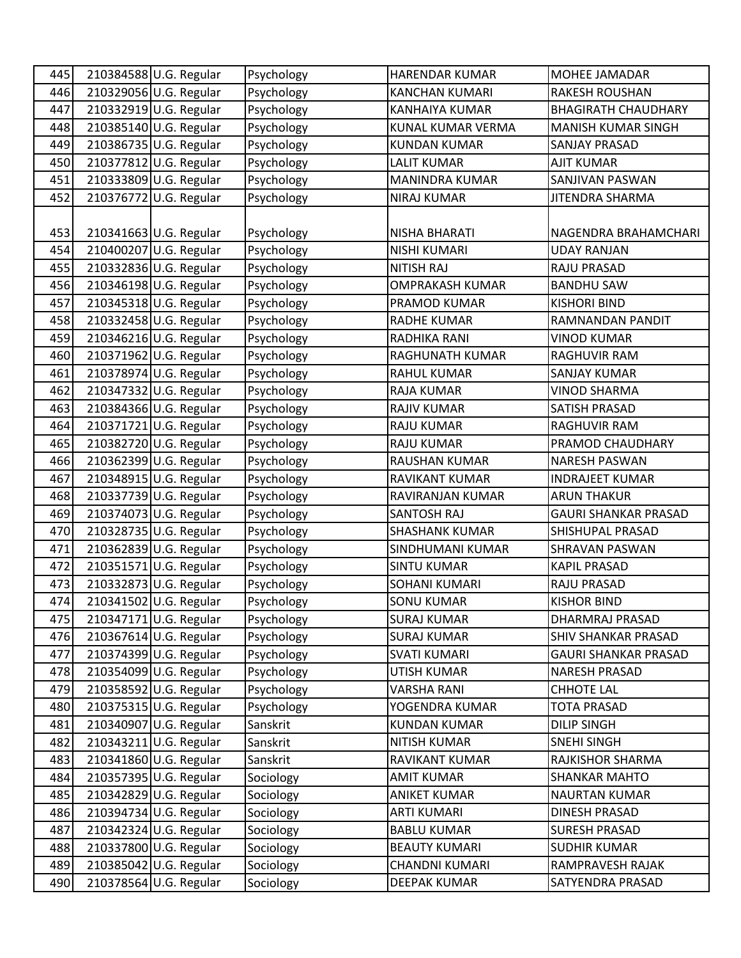| 445 | 210384588 U.G. Regular | Psychology | <b>HARENDAR KUMAR</b> | MOHEE JAMADAR               |
|-----|------------------------|------------|-----------------------|-----------------------------|
| 446 | 210329056 U.G. Regular | Psychology | <b>KANCHAN KUMARI</b> | <b>RAKESH ROUSHAN</b>       |
| 447 | 210332919 U.G. Regular | Psychology | <b>KANHAIYA KUMAR</b> | <b>BHAGIRATH CHAUDHARY</b>  |
| 448 | 210385140 U.G. Regular | Psychology | KUNAL KUMAR VERMA     | MANISH KUMAR SINGH          |
| 449 | 210386735 U.G. Regular | Psychology | <b>KUNDAN KUMAR</b>   | <b>SANJAY PRASAD</b>        |
| 450 | 210377812 U.G. Regular | Psychology | <b>LALIT KUMAR</b>    | <b>AJIT KUMAR</b>           |
| 451 | 210333809 U.G. Regular | Psychology | <b>MANINDRA KUMAR</b> | SANJIVAN PASWAN             |
| 452 | 210376772 U.G. Regular | Psychology | <b>NIRAJ KUMAR</b>    | <b>JITENDRA SHARMA</b>      |
|     |                        |            |                       |                             |
| 453 | 210341663 U.G. Regular | Psychology | NISHA BHARATI         | NAGENDRA BRAHAMCHARI        |
| 454 | 210400207 U.G. Regular | Psychology | <b>NISHI KUMARI</b>   | <b>UDAY RANJAN</b>          |
| 455 | 210332836 U.G. Regular | Psychology | <b>NITISH RAJ</b>     | RAJU PRASAD                 |
| 456 | 210346198 U.G. Regular | Psychology | OMPRAKASH KUMAR       | <b>BANDHU SAW</b>           |
| 457 | 210345318 U.G. Regular | Psychology | PRAMOD KUMAR          | <b>KISHORI BIND</b>         |
| 458 | 210332458 U.G. Regular | Psychology | <b>RADHE KUMAR</b>    | RAMNANDAN PANDIT            |
| 459 | 210346216 U.G. Regular | Psychology | RADHIKA RANI          | <b>VINOD KUMAR</b>          |
| 460 | 210371962 U.G. Regular | Psychology | RAGHUNATH KUMAR       | <b>RAGHUVIR RAM</b>         |
| 461 | 210378974 U.G. Regular | Psychology | <b>RAHUL KUMAR</b>    | <b>SANJAY KUMAR</b>         |
| 462 | 210347332 U.G. Regular | Psychology | <b>RAJA KUMAR</b>     | <b>VINOD SHARMA</b>         |
| 463 | 210384366 U.G. Regular | Psychology | <b>RAJIV KUMAR</b>    | SATISH PRASAD               |
| 464 | 210371721 U.G. Regular | Psychology | <b>RAJU KUMAR</b>     | RAGHUVIR RAM                |
| 465 | 210382720 U.G. Regular | Psychology | <b>RAJU KUMAR</b>     | PRAMOD CHAUDHARY            |
| 466 | 210362399 U.G. Regular | Psychology | RAUSHAN KUMAR         | <b>NARESH PASWAN</b>        |
| 467 | 210348915 U.G. Regular | Psychology | <b>RAVIKANT KUMAR</b> | <b>INDRAJEET KUMAR</b>      |
| 468 | 210337739 U.G. Regular | Psychology | RAVIRANJAN KUMAR      | <b>ARUN THAKUR</b>          |
| 469 | 210374073 U.G. Regular | Psychology | SANTOSH RAJ           | <b>GAURI SHANKAR PRASAD</b> |
| 470 | 210328735 U.G. Regular | Psychology | <b>SHASHANK KUMAR</b> | SHISHUPAL PRASAD            |
| 471 | 210362839 U.G. Regular | Psychology | SINDHUMANI KUMAR      | <b>SHRAVAN PASWAN</b>       |
| 472 | 210351571 U.G. Regular | Psychology | <b>SINTU KUMAR</b>    | <b>KAPIL PRASAD</b>         |
| 473 | 210332873 U.G. Regular | Psychology | <b>SOHANI KUMARI</b>  | RAJU PRASAD                 |
| 474 | 210341502 U.G. Regular | Psychology | <b>SONU KUMAR</b>     | <b>KISHOR BIND</b>          |
| 475 | 210347171 U.G. Regular | Psychology | <b>SURAJ KUMAR</b>    | DHARMRAJ PRASAD             |
| 476 | 210367614 U.G. Regular | Psychology | <b>SURAJ KUMAR</b>    | SHIV SHANKAR PRASAD         |
| 477 | 210374399 U.G. Regular | Psychology | <b>SVATI KUMARI</b>   | <b>GAURI SHANKAR PRASAD</b> |
| 478 | 210354099 U.G. Regular | Psychology | UTISH KUMAR           | <b>NARESH PRASAD</b>        |
| 479 | 210358592 U.G. Regular | Psychology | <b>VARSHA RANI</b>    | <b>CHHOTE LAL</b>           |
| 480 | 210375315 U.G. Regular | Psychology | YOGENDRA KUMAR        | <b>TOTA PRASAD</b>          |
| 481 | 210340907 U.G. Regular | Sanskrit   | <b>KUNDAN KUMAR</b>   | <b>DILIP SINGH</b>          |
| 482 | 210343211 U.G. Regular | Sanskrit   | <b>NITISH KUMAR</b>   | <b>SNEHI SINGH</b>          |
| 483 | 210341860 U.G. Regular | Sanskrit   | <b>RAVIKANT KUMAR</b> | RAJKISHOR SHARMA            |
| 484 | 210357395 U.G. Regular | Sociology  | <b>AMIT KUMAR</b>     | <b>SHANKAR MAHTO</b>        |
| 485 | 210342829 U.G. Regular | Sociology  | <b>ANIKET KUMAR</b>   | <b>NAURTAN KUMAR</b>        |
| 486 | 210394734 U.G. Regular | Sociology  | <b>ARTI KUMARI</b>    | <b>DINESH PRASAD</b>        |
| 487 | 210342324 U.G. Regular | Sociology  | <b>BABLU KUMAR</b>    | <b>SURESH PRASAD</b>        |
| 488 | 210337800 U.G. Regular | Sociology  | <b>BEAUTY KUMARI</b>  | <b>SUDHIR KUMAR</b>         |
| 489 | 210385042 U.G. Regular | Sociology  | CHANDNI KUMARI        | RAMPRAVESH RAJAK            |
| 490 | 210378564 U.G. Regular | Sociology  | <b>DEEPAK KUMAR</b>   | SATYENDRA PRASAD            |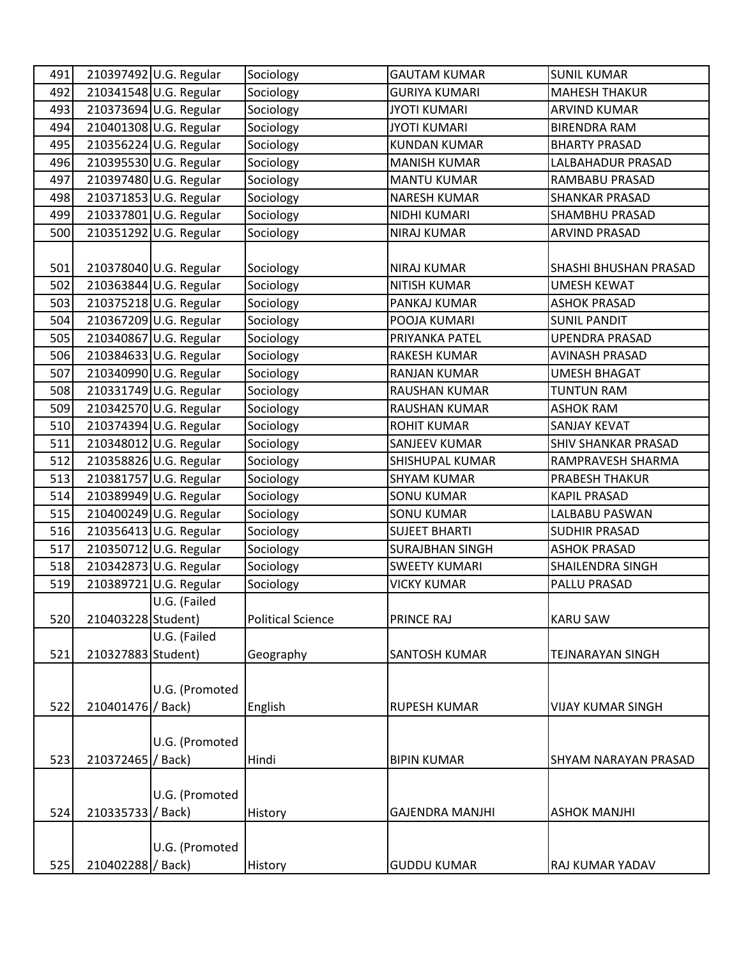| 491 |                    | 210397492 U.G. Regular | Sociology                | <b>GAUTAM KUMAR</b>    | <b>SUNIL KUMAR</b>          |
|-----|--------------------|------------------------|--------------------------|------------------------|-----------------------------|
| 492 |                    | 210341548 U.G. Regular | Sociology                | <b>GURIYA KUMARI</b>   | <b>MAHESH THAKUR</b>        |
| 493 |                    | 210373694 U.G. Regular | Sociology                | <b>JYOTI KUMARI</b>    | <b>ARVIND KUMAR</b>         |
| 494 |                    | 210401308 U.G. Regular | Sociology                | <b>JYOTI KUMARI</b>    | <b>BIRENDRA RAM</b>         |
| 495 |                    | 210356224 U.G. Regular | Sociology                | <b>KUNDAN KUMAR</b>    | <b>BHARTY PRASAD</b>        |
| 496 |                    | 210395530 U.G. Regular | Sociology                | <b>MANISH KUMAR</b>    | LALBAHADUR PRASAD           |
| 497 |                    | 210397480 U.G. Regular | Sociology                | <b>MANTU KUMAR</b>     | RAMBABU PRASAD              |
| 498 |                    | 210371853 U.G. Regular | Sociology                | <b>NARESH KUMAR</b>    | <b>SHANKAR PRASAD</b>       |
| 499 |                    | 210337801 U.G. Regular | Sociology                | NIDHI KUMARI           | SHAMBHU PRASAD              |
| 500 |                    | 210351292 U.G. Regular | Sociology                | <b>NIRAJ KUMAR</b>     | <b>ARVIND PRASAD</b>        |
|     |                    |                        |                          |                        |                             |
| 501 |                    | 210378040 U.G. Regular | Sociology                | <b>NIRAJ KUMAR</b>     | SHASHI BHUSHAN PRASAD       |
| 502 |                    | 210363844 U.G. Regular | Sociology                | <b>NITISH KUMAR</b>    | <b>UMESH KEWAT</b>          |
| 503 |                    | 210375218 U.G. Regular | Sociology                | PANKAJ KUMAR           | <b>ASHOK PRASAD</b>         |
| 504 |                    | 210367209 U.G. Regular | Sociology                | POOJA KUMARI           | <b>SUNIL PANDIT</b>         |
| 505 |                    | 210340867 U.G. Regular | Sociology                | PRIYANKA PATEL         | <b>UPENDRA PRASAD</b>       |
| 506 |                    | 210384633 U.G. Regular | Sociology                | <b>RAKESH KUMAR</b>    | <b>AVINASH PRASAD</b>       |
| 507 |                    | 210340990 U.G. Regular | Sociology                | <b>RANJAN KUMAR</b>    | <b>UMESH BHAGAT</b>         |
| 508 |                    | 210331749 U.G. Regular | Sociology                | <b>RAUSHAN KUMAR</b>   | <b>TUNTUN RAM</b>           |
| 509 |                    | 210342570 U.G. Regular | Sociology                | <b>RAUSHAN KUMAR</b>   | <b>ASHOK RAM</b>            |
| 510 |                    | 210374394 U.G. Regular | Sociology                | <b>ROHIT KUMAR</b>     | <b>SANJAY KEVAT</b>         |
| 511 |                    | 210348012 U.G. Regular | Sociology                | <b>SANJEEV KUMAR</b>   | <b>SHIV SHANKAR PRASAD</b>  |
| 512 |                    | 210358826 U.G. Regular | Sociology                | SHISHUPAL KUMAR        | RAMPRAVESH SHARMA           |
| 513 |                    | 210381757 U.G. Regular | Sociology                | <b>SHYAM KUMAR</b>     | PRABESH THAKUR              |
| 514 |                    | 210389949 U.G. Regular | Sociology                | <b>SONU KUMAR</b>      | <b>KAPIL PRASAD</b>         |
| 515 |                    | 210400249 U.G. Regular | Sociology                | <b>SONU KUMAR</b>      | LALBABU PASWAN              |
| 516 |                    | 210356413 U.G. Regular | Sociology                | <b>SUJEET BHARTI</b>   | <b>SUDHIR PRASAD</b>        |
| 517 |                    | 210350712 U.G. Regular | Sociology                | <b>SURAJBHAN SINGH</b> | <b>ASHOK PRASAD</b>         |
| 518 |                    | 210342873 U.G. Regular | Sociology                | <b>SWEETY KUMARI</b>   | SHAILENDRA SINGH            |
| 519 |                    | 210389721 U.G. Regular | Sociology                | <b>VICKY KUMAR</b>     | PALLU PRASAD                |
|     |                    | U.G. (Failed           |                          |                        |                             |
| 520 | 210403228 Student) |                        | <b>Political Science</b> | <b>PRINCE RAJ</b>      | <b>KARU SAW</b>             |
|     |                    | U.G. (Failed           |                          |                        |                             |
| 521 | 210327883 Student) |                        | Geography                | <b>SANTOSH KUMAR</b>   | <b>TEJNARAYAN SINGH</b>     |
|     |                    |                        |                          |                        |                             |
|     |                    | U.G. (Promoted         |                          |                        |                             |
| 522 | 210401476 / Back)  |                        | English                  | <b>RUPESH KUMAR</b>    | <b>VIJAY KUMAR SINGH</b>    |
|     |                    |                        |                          |                        |                             |
|     |                    | U.G. (Promoted         |                          |                        |                             |
| 523 | 210372465 / Back)  |                        | Hindi                    | <b>BIPIN KUMAR</b>     | <b>SHYAM NARAYAN PRASAD</b> |
|     |                    |                        |                          |                        |                             |
|     |                    | U.G. (Promoted         |                          |                        |                             |
| 524 | 210335733 / Back)  |                        | History                  | <b>GAJENDRA MANJHI</b> | <b>ASHOK MANJHI</b>         |
|     |                    |                        |                          |                        |                             |
|     |                    | U.G. (Promoted         |                          |                        |                             |
| 525 | 210402288 / Back)  |                        | History                  | <b>GUDDU KUMAR</b>     | RAJ KUMAR YADAV             |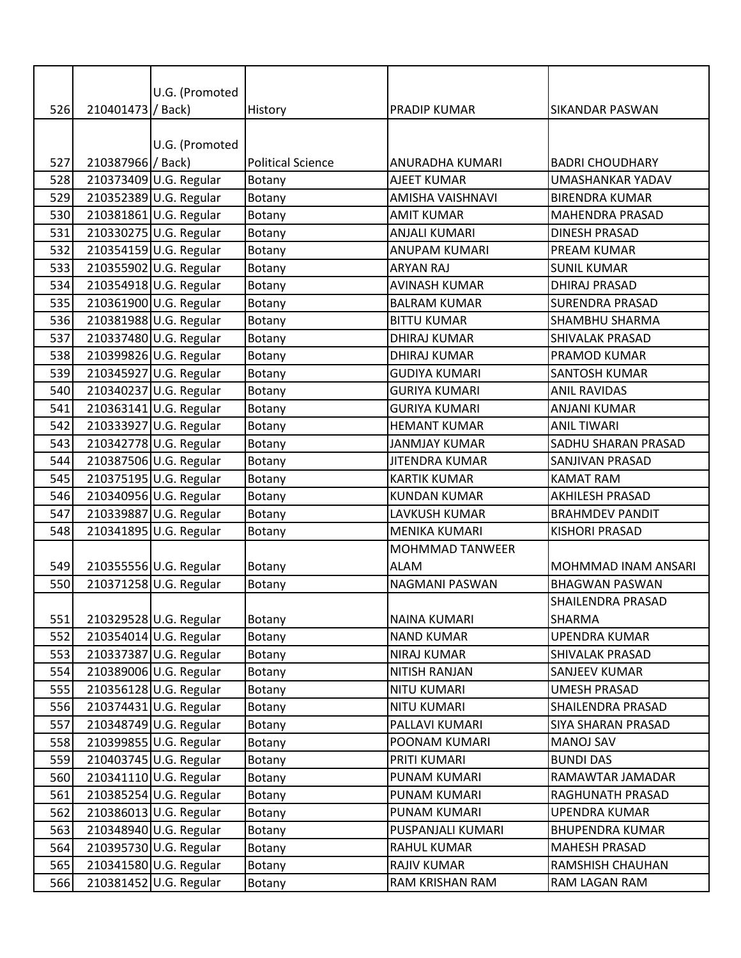|     |                   | U.G. (Promoted         |                          |                        |                           |
|-----|-------------------|------------------------|--------------------------|------------------------|---------------------------|
| 526 | 210401473 / Back) |                        | History                  | <b>PRADIP KUMAR</b>    | <b>SIKANDAR PASWAN</b>    |
|     |                   |                        |                          |                        |                           |
|     |                   | U.G. (Promoted         |                          |                        |                           |
| 527 | 210387966 / Back) |                        | <b>Political Science</b> | ANURADHA KUMARI        | <b>BADRI CHOUDHARY</b>    |
| 528 |                   | 210373409 U.G. Regular | Botany                   | <b>AJEET KUMAR</b>     | UMASHANKAR YADAV          |
| 529 |                   | 210352389 U.G. Regular | Botany                   | AMISHA VAISHNAVI       | <b>BIRENDRA KUMAR</b>     |
| 530 |                   | 210381861 U.G. Regular | Botany                   | <b>AMIT KUMAR</b>      | MAHENDRA PRASAD           |
| 531 |                   | 210330275 U.G. Regular | Botany                   | <b>ANJALI KUMARI</b>   | <b>DINESH PRASAD</b>      |
| 532 |                   | 210354159 U.G. Regular | Botany                   | <b>ANUPAM KUMARI</b>   | <b>PREAM KUMAR</b>        |
| 533 |                   | 210355902 U.G. Regular | Botany                   | <b>ARYAN RAJ</b>       | <b>SUNIL KUMAR</b>        |
| 534 |                   | 210354918 U.G. Regular | Botany                   | <b>AVINASH KUMAR</b>   | <b>DHIRAJ PRASAD</b>      |
| 535 |                   | 210361900 U.G. Regular | Botany                   | <b>BALRAM KUMAR</b>    | <b>SURENDRA PRASAD</b>    |
| 536 |                   | 210381988 U.G. Regular | Botany                   | <b>BITTU KUMAR</b>     | SHAMBHU SHARMA            |
| 537 |                   | 210337480 U.G. Regular | Botany                   | <b>DHIRAJ KUMAR</b>    | <b>SHIVALAK PRASAD</b>    |
| 538 |                   | 210399826 U.G. Regular | Botany                   | <b>DHIRAJ KUMAR</b>    | <b>PRAMOD KUMAR</b>       |
| 539 |                   | 210345927 U.G. Regular | Botany                   | <b>GUDIYA KUMARI</b>   | SANTOSH KUMAR             |
| 540 |                   | 210340237 U.G. Regular | Botany                   | <b>GURIYA KUMARI</b>   | <b>ANIL RAVIDAS</b>       |
| 541 |                   | 210363141 U.G. Regular | Botany                   | <b>GURIYA KUMARI</b>   | <b>ANJANI KUMAR</b>       |
| 542 |                   | 210333927 U.G. Regular | Botany                   | <b>HEMANT KUMAR</b>    | <b>ANIL TIWARI</b>        |
| 543 |                   | 210342778 U.G. Regular | Botany                   | <b>JANMJAY KUMAR</b>   | SADHU SHARAN PRASAD       |
| 544 |                   | 210387506 U.G. Regular | Botany                   | <b>JITENDRA KUMAR</b>  | SANJIVAN PRASAD           |
| 545 |                   | 210375195 U.G. Regular | Botany                   | <b>KARTIK KUMAR</b>    | <b>KAMAT RAM</b>          |
| 546 |                   | 210340956 U.G. Regular | Botany                   | <b>KUNDAN KUMAR</b>    | <b>AKHILESH PRASAD</b>    |
| 547 |                   | 210339887 U.G. Regular | Botany                   | LAVKUSH KUMAR          | <b>BRAHMDEV PANDIT</b>    |
| 548 |                   | 210341895 U.G. Regular | Botany                   | <b>MENIKA KUMARI</b>   | <b>KISHORI PRASAD</b>     |
|     |                   |                        |                          | <b>MOHMMAD TANWEER</b> |                           |
| 549 |                   | 210355556 U.G. Regular | Botany                   | <b>ALAM</b>            | MOHMMAD INAM ANSARI       |
| 550 |                   | 210371258 U.G. Regular | Botany                   | <b>NAGMANI PASWAN</b>  | <b>BHAGWAN PASWAN</b>     |
|     |                   |                        |                          |                        | <b>SHAILENDRA PRASAD</b>  |
| 551 |                   | 210329528 U.G. Regular | Botany                   | NAINA KUMARI           | <b>SHARMA</b>             |
| 552 |                   | 210354014 U.G. Regular | Botany                   | <b>NAND KUMAR</b>      | <b>UPENDRA KUMAR</b>      |
| 553 |                   | 210337387 U.G. Regular | Botany                   | <b>NIRAJ KUMAR</b>     | SHIVALAK PRASAD           |
| 554 |                   | 210389006 U.G. Regular | Botany                   | NITISH RANJAN          | SANJEEV KUMAR             |
| 555 |                   | 210356128 U.G. Regular | Botany                   | <b>NITU KUMARI</b>     | <b>UMESH PRASAD</b>       |
| 556 |                   | 210374431 U.G. Regular | Botany                   | <b>NITU KUMARI</b>     | SHAILENDRA PRASAD         |
| 557 |                   | 210348749 U.G. Regular | Botany                   | PALLAVI KUMARI         | <b>SIYA SHARAN PRASAD</b> |
| 558 |                   | 210399855 U.G. Regular | Botany                   | POONAM KUMARI          | <b>MANOJ SAV</b>          |
| 559 |                   | 210403745 U.G. Regular | Botany                   | PRITI KUMARI           | <b>BUNDI DAS</b>          |
| 560 |                   | 210341110 U.G. Regular | Botany                   | PUNAM KUMARI           | RAMAWTAR JAMADAR          |
| 561 |                   | 210385254 U.G. Regular | Botany                   | PUNAM KUMARI           | RAGHUNATH PRASAD          |
| 562 |                   | 210386013 U.G. Regular | Botany                   | PUNAM KUMARI           | <b>UPENDRA KUMAR</b>      |
| 563 |                   | 210348940 U.G. Regular | Botany                   | PUSPANJALI KUMARI      | <b>BHUPENDRA KUMAR</b>    |
| 564 |                   | 210395730 U.G. Regular | Botany                   | <b>RAHUL KUMAR</b>     | MAHESH PRASAD             |
| 565 |                   | 210341580 U.G. Regular | Botany                   | <b>RAJIV KUMAR</b>     | RAMSHISH CHAUHAN          |
| 566 |                   | 210381452 U.G. Regular | Botany                   | RAM KRISHAN RAM        | RAM LAGAN RAM             |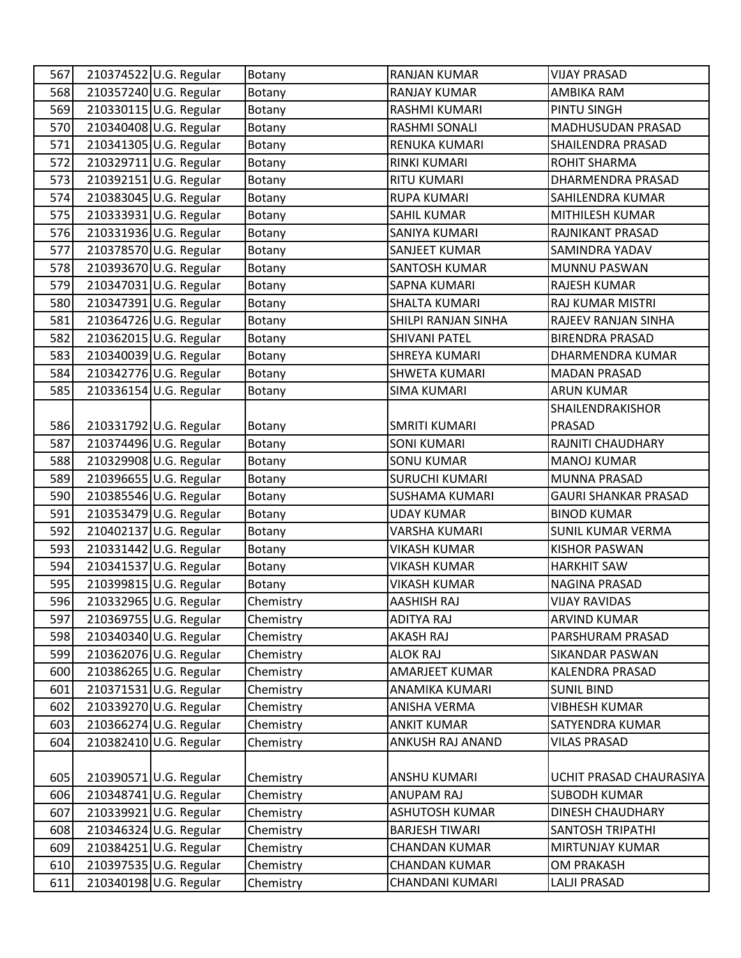| 567 | 210374522 U.G. Regular | Botany    | RANJAN KUMAR          | <b>VIJAY PRASAD</b>         |
|-----|------------------------|-----------|-----------------------|-----------------------------|
| 568 | 210357240 U.G. Regular | Botany    | <b>RANJAY KUMAR</b>   | AMBIKA RAM                  |
| 569 | 210330115 U.G. Regular | Botany    | <b>RASHMI KUMARI</b>  | PINTU SINGH                 |
| 570 | 210340408 U.G. Regular | Botany    | RASHMI SONALI         | MADHUSUDAN PRASAD           |
| 571 | 210341305 U.G. Regular | Botany    | RENUKA KUMARI         | SHAILENDRA PRASAD           |
| 572 | 210329711 U.G. Regular | Botany    | RINKI KUMARI          | <b>ROHIT SHARMA</b>         |
| 573 | 210392151 U.G. Regular | Botany    | <b>RITU KUMARI</b>    | DHARMENDRA PRASAD           |
| 574 | 210383045 U.G. Regular | Botany    | <b>RUPA KUMARI</b>    | SAHILENDRA KUMAR            |
| 575 | 210333931 U.G. Regular | Botany    | <b>SAHIL KUMAR</b>    | MITHILESH KUMAR             |
| 576 | 210331936 U.G. Regular | Botany    | SANIYA KUMARI         | RAJNIKANT PRASAD            |
| 577 | 210378570 U.G. Regular | Botany    | <b>SANJEET KUMAR</b>  | SAMINDRA YADAV              |
| 578 | 210393670 U.G. Regular | Botany    | <b>SANTOSH KUMAR</b>  | MUNNU PASWAN                |
| 579 | 210347031 U.G. Regular | Botany    | SAPNA KUMARI          | <b>RAJESH KUMAR</b>         |
| 580 | 210347391 U.G. Regular | Botany    | <b>SHALTA KUMARI</b>  | RAJ KUMAR MISTRI            |
| 581 | 210364726 U.G. Regular | Botany    | SHILPI RANJAN SINHA   | RAJEEV RANJAN SINHA         |
| 582 | 210362015 U.G. Regular | Botany    | <b>SHIVANI PATEL</b>  | <b>BIRENDRA PRASAD</b>      |
| 583 | 210340039 U.G. Regular | Botany    | <b>SHREYA KUMARI</b>  | DHARMENDRA KUMAR            |
| 584 | 210342776 U.G. Regular | Botany    | <b>SHWETA KUMARI</b>  | <b>MADAN PRASAD</b>         |
| 585 | 210336154 U.G. Regular | Botany    | <b>SIMA KUMARI</b>    | <b>ARUN KUMAR</b>           |
|     |                        |           |                       | SHAILENDRAKISHOR            |
| 586 | 210331792 U.G. Regular | Botany    | <b>SMRITI KUMARI</b>  | PRASAD                      |
| 587 | 210374496 U.G. Regular | Botany    | <b>SONI KUMARI</b>    | RAJNITI CHAUDHARY           |
| 588 | 210329908 U.G. Regular | Botany    | <b>SONU KUMAR</b>     | <b>MANOJ KUMAR</b>          |
| 589 | 210396655 U.G. Regular | Botany    | <b>SURUCHI KUMARI</b> | MUNNA PRASAD                |
| 590 | 210385546 U.G. Regular | Botany    | <b>SUSHAMA KUMARI</b> | <b>GAURI SHANKAR PRASAD</b> |
| 591 | 210353479 U.G. Regular | Botany    | <b>UDAY KUMAR</b>     | <b>BINOD KUMAR</b>          |
| 592 | 210402137 U.G. Regular | Botany    | <b>VARSHA KUMARI</b>  | SUNIL KUMAR VERMA           |
| 593 | 210331442 U.G. Regular | Botany    | <b>VIKASH KUMAR</b>   | <b>KISHOR PASWAN</b>        |
| 594 | 210341537 U.G. Regular | Botany    | <b>VIKASH KUMAR</b>   | <b>HARKHIT SAW</b>          |
| 595 | 210399815 U.G. Regular | Botany    | <b>VIKASH KUMAR</b>   | NAGINA PRASAD               |
| 596 | 210332965 U.G. Regular | Chemistry | <b>AASHISH RAJ</b>    | <b>VIJAY RAVIDAS</b>        |
| 597 | 210369755 U.G. Regular | Chemistry | <b>ADITYA RAJ</b>     | ARVIND KUMAR                |
| 598 | 210340340 U.G. Regular | Chemistry | <b>AKASH RAJ</b>      | PARSHURAM PRASAD            |
| 599 | 210362076 U.G. Regular | Chemistry | <b>ALOK RAJ</b>       | SIKANDAR PASWAN             |
| 600 | 210386265 U.G. Regular | Chemistry | AMARJEET KUMAR        | <b>KALENDRA PRASAD</b>      |
| 601 | 210371531 U.G. Regular | Chemistry | ANAMIKA KUMARI        | <b>SUNIL BIND</b>           |
| 602 | 210339270 U.G. Regular | Chemistry | ANISHA VERMA          | <b>VIBHESH KUMAR</b>        |
| 603 | 210366274 U.G. Regular | Chemistry | <b>ANKIT KUMAR</b>    | SATYENDRA KUMAR             |
| 604 | 210382410 U.G. Regular | Chemistry | ANKUSH RAJ ANAND      | <b>VILAS PRASAD</b>         |
|     |                        |           |                       |                             |
| 605 | 210390571 U.G. Regular | Chemistry | ANSHU KUMARI          | UCHIT PRASAD CHAURASIYA     |
| 606 | 210348741 U.G. Regular | Chemistry | <b>ANUPAM RAJ</b>     | <b>SUBODH KUMAR</b>         |
| 607 | 210339921 U.G. Regular | Chemistry | <b>ASHUTOSH KUMAR</b> | <b>DINESH CHAUDHARY</b>     |
| 608 | 210346324 U.G. Regular | Chemistry | <b>BARJESH TIWARI</b> | <b>SANTOSH TRIPATHI</b>     |
| 609 | 210384251 U.G. Regular | Chemistry | <b>CHANDAN KUMAR</b>  | MIRTUNJAY KUMAR             |
| 610 | 210397535 U.G. Regular | Chemistry | <b>CHANDAN KUMAR</b>  | <b>OM PRAKASH</b>           |
| 611 | 210340198 U.G. Regular | Chemistry | CHANDANI KUMARI       | <b>LALJI PRASAD</b>         |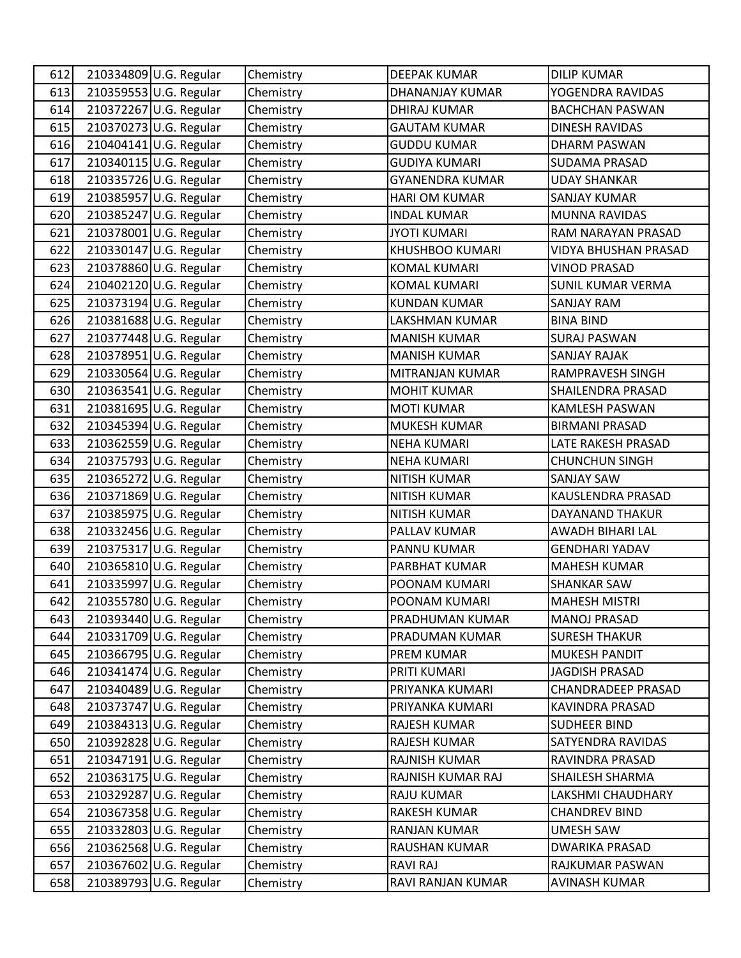| 612 | 210334809 U.G. Regular | Chemistry | <b>DEEPAK KUMAR</b>    | <b>DILIP KUMAR</b>        |
|-----|------------------------|-----------|------------------------|---------------------------|
| 613 | 210359553 U.G. Regular | Chemistry | DHANANJAY KUMAR        | YOGENDRA RAVIDAS          |
| 614 | 210372267 U.G. Regular | Chemistry | <b>DHIRAJ KUMAR</b>    | <b>BACHCHAN PASWAN</b>    |
| 615 | 210370273 U.G. Regular | Chemistry | <b>GAUTAM KUMAR</b>    | <b>DINESH RAVIDAS</b>     |
| 616 | 210404141 U.G. Regular | Chemistry | <b>GUDDU KUMAR</b>     | <b>DHARM PASWAN</b>       |
| 617 | 210340115 U.G. Regular | Chemistry | <b>GUDIYA KUMARI</b>   | <b>SUDAMA PRASAD</b>      |
| 618 | 210335726 U.G. Regular | Chemistry | <b>GYANENDRA KUMAR</b> | <b>UDAY SHANKAR</b>       |
| 619 | 210385957 U.G. Regular | Chemistry | <b>HARI OM KUMAR</b>   | <b>SANJAY KUMAR</b>       |
| 620 | 210385247 U.G. Regular | Chemistry | <b>INDAL KUMAR</b>     | <b>MUNNA RAVIDAS</b>      |
| 621 | 210378001 U.G. Regular | Chemistry | <b>JYOTI KUMARI</b>    | RAM NARAYAN PRASAD        |
| 622 | 210330147 U.G. Regular | Chemistry | KHUSHBOO KUMARI        | VIDYA BHUSHAN PRASAD      |
| 623 | 210378860 U.G. Regular | Chemistry | <b>KOMAL KUMARI</b>    | <b>VINOD PRASAD</b>       |
| 624 | 210402120 U.G. Regular | Chemistry | <b>KOMAL KUMARI</b>    | <b>SUNIL KUMAR VERMA</b>  |
| 625 | 210373194 U.G. Regular | Chemistry | <b>KUNDAN KUMAR</b>    | <b>SANJAY RAM</b>         |
| 626 | 210381688 U.G. Regular | Chemistry | LAKSHMAN KUMAR         | <b>BINA BIND</b>          |
| 627 | 210377448 U.G. Regular | Chemistry | <b>MANISH KUMAR</b>    | <b>SURAJ PASWAN</b>       |
| 628 | 210378951 U.G. Regular | Chemistry | <b>MANISH KUMAR</b>    | <b>SANJAY RAJAK</b>       |
| 629 | 210330564 U.G. Regular | Chemistry | MITRANJAN KUMAR        | RAMPRAVESH SINGH          |
| 630 | 210363541 U.G. Regular | Chemistry | <b>MOHIT KUMAR</b>     | SHAILENDRA PRASAD         |
| 631 | 210381695 U.G. Regular | Chemistry | <b>MOTI KUMAR</b>      | KAMLESH PASWAN            |
| 632 | 210345394 U.G. Regular | Chemistry | <b>MUKESH KUMAR</b>    | <b>BIRMANI PRASAD</b>     |
| 633 | 210362559 U.G. Regular | Chemistry | <b>NEHA KUMARI</b>     | LATE RAKESH PRASAD        |
| 634 | 210375793 U.G. Regular | Chemistry | <b>NEHA KUMARI</b>     | <b>CHUNCHUN SINGH</b>     |
| 635 | 210365272 U.G. Regular | Chemistry | <b>NITISH KUMAR</b>    | <b>SANJAY SAW</b>         |
| 636 | 210371869 U.G. Regular | Chemistry | <b>NITISH KUMAR</b>    | KAUSLENDRA PRASAD         |
| 637 | 210385975 U.G. Regular | Chemistry | <b>NITISH KUMAR</b>    | DAYANAND THAKUR           |
| 638 | 210332456 U.G. Regular | Chemistry | PALLAV KUMAR           | AWADH BIHARI LAL          |
| 639 | 210375317 U.G. Regular | Chemistry | PANNU KUMAR            | <b>GENDHARI YADAV</b>     |
| 640 | 210365810 U.G. Regular | Chemistry | PARBHAT KUMAR          | <b>MAHESH KUMAR</b>       |
| 641 | 210335997 U.G. Regular | Chemistry | POONAM KUMARI          | <b>SHANKAR SAW</b>        |
| 642 | 210355780 U.G. Regular | Chemistry | POONAM KUMARI          | <b>MAHESH MISTRI</b>      |
| 643 | 210393440 U.G. Regular | Chemistry | PRADHUMAN KUMAR        | <b>MANOJ PRASAD</b>       |
| 644 | 210331709 U.G. Regular | Chemistry | PRADUMAN KUMAR         | <b>SURESH THAKUR</b>      |
| 645 | 210366795 U.G. Regular | Chemistry | PREM KUMAR             | <b>MUKESH PANDIT</b>      |
| 646 | 210341474 U.G. Regular | Chemistry | PRITI KUMARI           | <b>JAGDISH PRASAD</b>     |
| 647 | 210340489 U.G. Regular | Chemistry | PRIYANKA KUMARI        | <b>CHANDRADEEP PRASAD</b> |
| 648 | 210373747 U.G. Regular | Chemistry | PRIYANKA KUMARI        | KAVINDRA PRASAD           |
| 649 | 210384313 U.G. Regular | Chemistry | RAJESH KUMAR           | <b>SUDHEER BIND</b>       |
| 650 | 210392828 U.G. Regular | Chemistry | RAJESH KUMAR           | SATYENDRA RAVIDAS         |
| 651 | 210347191 U.G. Regular | Chemistry | RAJNISH KUMAR          | RAVINDRA PRASAD           |
| 652 | 210363175 U.G. Regular | Chemistry | RAJNISH KUMAR RAJ      | SHAILESH SHARMA           |
| 653 | 210329287 U.G. Regular | Chemistry | RAJU KUMAR             | LAKSHMI CHAUDHARY         |
| 654 | 210367358 U.G. Regular | Chemistry | RAKESH KUMAR           | <b>CHANDREV BIND</b>      |
| 655 | 210332803 U.G. Regular | Chemistry | RANJAN KUMAR           | <b>UMESH SAW</b>          |
| 656 | 210362568 U.G. Regular | Chemistry | RAUSHAN KUMAR          | <b>DWARIKA PRASAD</b>     |
| 657 | 210367602 U.G. Regular | Chemistry | RAVI RAJ               | RAJKUMAR PASWAN           |
| 658 | 210389793 U.G. Regular | Chemistry | RAVI RANJAN KUMAR      | AVINASH KUMAR             |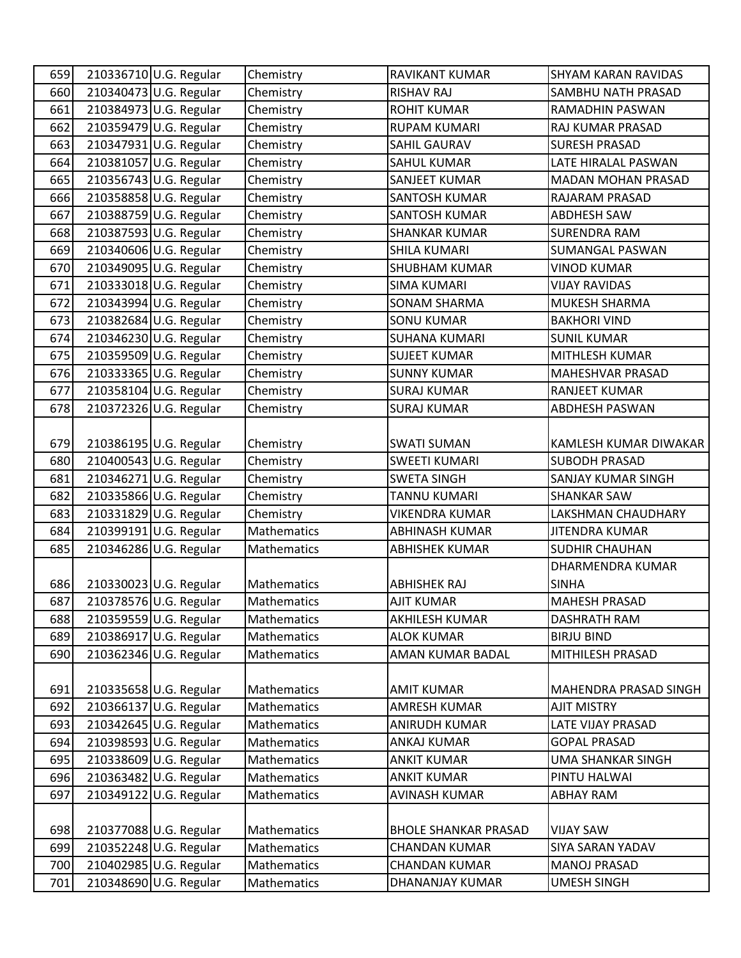| 659 | 210336710 U.G. Regular | Chemistry   | <b>RAVIKANT KUMAR</b>       | <b>SHYAM KARAN RAVIDAS</b> |
|-----|------------------------|-------------|-----------------------------|----------------------------|
| 660 | 210340473 U.G. Regular | Chemistry   | <b>RISHAV RAJ</b>           | SAMBHU NATH PRASAD         |
| 661 | 210384973 U.G. Regular | Chemistry   | <b>ROHIT KUMAR</b>          | RAMADHIN PASWAN            |
| 662 | 210359479 U.G. Regular | Chemistry   | <b>RUPAM KUMARI</b>         | RAJ KUMAR PRASAD           |
| 663 | 210347931 U.G. Regular | Chemistry   | SAHIL GAURAV                | <b>SURESH PRASAD</b>       |
| 664 | 210381057 U.G. Regular | Chemistry   | <b>SAHUL KUMAR</b>          | LATE HIRALAL PASWAN        |
| 665 | 210356743 U.G. Regular | Chemistry   | SANJEET KUMAR               | <b>MADAN MOHAN PRASAD</b>  |
| 666 | 210358858 U.G. Regular | Chemistry   | <b>SANTOSH KUMAR</b>        | RAJARAM PRASAD             |
| 667 | 210388759 U.G. Regular | Chemistry   | <b>SANTOSH KUMAR</b>        | <b>ABDHESH SAW</b>         |
| 668 | 210387593 U.G. Regular | Chemistry   | <b>SHANKAR KUMAR</b>        | <b>SURENDRA RAM</b>        |
| 669 | 210340606 U.G. Regular | Chemistry   | <b>SHILA KUMARI</b>         | <b>SUMANGAL PASWAN</b>     |
| 670 | 210349095 U.G. Regular | Chemistry   | <b>SHUBHAM KUMAR</b>        | <b>VINOD KUMAR</b>         |
| 671 | 210333018 U.G. Regular | Chemistry   | <b>SIMA KUMARI</b>          | <b>VIJAY RAVIDAS</b>       |
| 672 | 210343994 U.G. Regular | Chemistry   | <b>SONAM SHARMA</b>         | MUKESH SHARMA              |
| 673 | 210382684 U.G. Regular | Chemistry   | <b>SONU KUMAR</b>           | <b>BAKHORI VIND</b>        |
| 674 | 210346230 U.G. Regular | Chemistry   | <b>SUHANA KUMARI</b>        | <b>SUNIL KUMAR</b>         |
| 675 | 210359509 U.G. Regular | Chemistry   | <b>SUJEET KUMAR</b>         | MITHLESH KUMAR             |
| 676 | 210333365 U.G. Regular | Chemistry   | <b>SUNNY KUMAR</b>          | MAHESHVAR PRASAD           |
| 677 | 210358104 U.G. Regular | Chemistry   | <b>SURAJ KUMAR</b>          | <b>RANJEET KUMAR</b>       |
| 678 | 210372326 U.G. Regular | Chemistry   | <b>SURAJ KUMAR</b>          | <b>ABDHESH PASWAN</b>      |
|     |                        |             |                             |                            |
| 679 | 210386195 U.G. Regular | Chemistry   | <b>SWATI SUMAN</b>          | KAMLESH KUMAR DIWAKAR      |
| 680 | 210400543 U.G. Regular | Chemistry   | <b>SWEETI KUMARI</b>        | <b>SUBODH PRASAD</b>       |
| 681 | 210346271 U.G. Regular | Chemistry   | <b>SWETA SINGH</b>          | SANJAY KUMAR SINGH         |
| 682 | 210335866 U.G. Regular | Chemistry   | <b>TANNU KUMARI</b>         | <b>SHANKAR SAW</b>         |
| 683 | 210331829 U.G. Regular | Chemistry   | <b>VIKENDRA KUMAR</b>       | LAKSHMAN CHAUDHARY         |
| 684 | 210399191 U.G. Regular | Mathematics | <b>ABHINASH KUMAR</b>       | <b>JITENDRA KUMAR</b>      |
| 685 | 210346286 U.G. Regular | Mathematics | <b>ABHISHEK KUMAR</b>       | <b>SUDHIR CHAUHAN</b>      |
|     |                        |             |                             | <b>DHARMENDRA KUMAR</b>    |
| 686 | 210330023 U.G. Regular | Mathematics | <b>ABHISHEK RAJ</b>         | <b>SINHA</b>               |
| 687 | 210378576 U.G. Regular | Mathematics | <b>AJIT KUMAR</b>           | <b>MAHESH PRASAD</b>       |
| 688 | 210359559 U.G. Regular | Mathematics | AKHILESH KUMAR              | <b>DASHRATH RAM</b>        |
| 689 | 210386917 U.G. Regular | Mathematics | <b>ALOK KUMAR</b>           | <b>BIRJU BIND</b>          |
| 690 | 210362346 U.G. Regular | Mathematics | AMAN KUMAR BADAL            | MITHILESH PRASAD           |
|     |                        |             |                             |                            |
| 691 | 210335658 U.G. Regular | Mathematics | <b>AMIT KUMAR</b>           | MAHENDRA PRASAD SINGH      |
| 692 | 210366137 U.G. Regular | Mathematics | <b>AMRESH KUMAR</b>         | <b>AJIT MISTRY</b>         |
| 693 | 210342645 U.G. Regular | Mathematics | <b>ANIRUDH KUMAR</b>        | <b>LATE VIJAY PRASAD</b>   |
| 694 | 210398593 U.G. Regular | Mathematics | ANKAJ KUMAR                 | <b>GOPAL PRASAD</b>        |
| 695 | 210338609 U.G. Regular | Mathematics | <b>ANKIT KUMAR</b>          | <b>UMA SHANKAR SINGH</b>   |
| 696 | 210363482 U.G. Regular | Mathematics | <b>ANKIT KUMAR</b>          | PINTU HALWAI               |
| 697 | 210349122 U.G. Regular | Mathematics | <b>AVINASH KUMAR</b>        | <b>ABHAY RAM</b>           |
|     |                        |             |                             |                            |
| 698 | 210377088 U.G. Regular | Mathematics | <b>BHOLE SHANKAR PRASAD</b> | <b>VIJAY SAW</b>           |
| 699 | 210352248 U.G. Regular | Mathematics | <b>CHANDAN KUMAR</b>        | <b>SIYA SARAN YADAV</b>    |
| 700 | 210402985 U.G. Regular | Mathematics | <b>CHANDAN KUMAR</b>        | <b>MANOJ PRASAD</b>        |
| 701 | 210348690 U.G. Regular | Mathematics | DHANANJAY KUMAR             | <b>UMESH SINGH</b>         |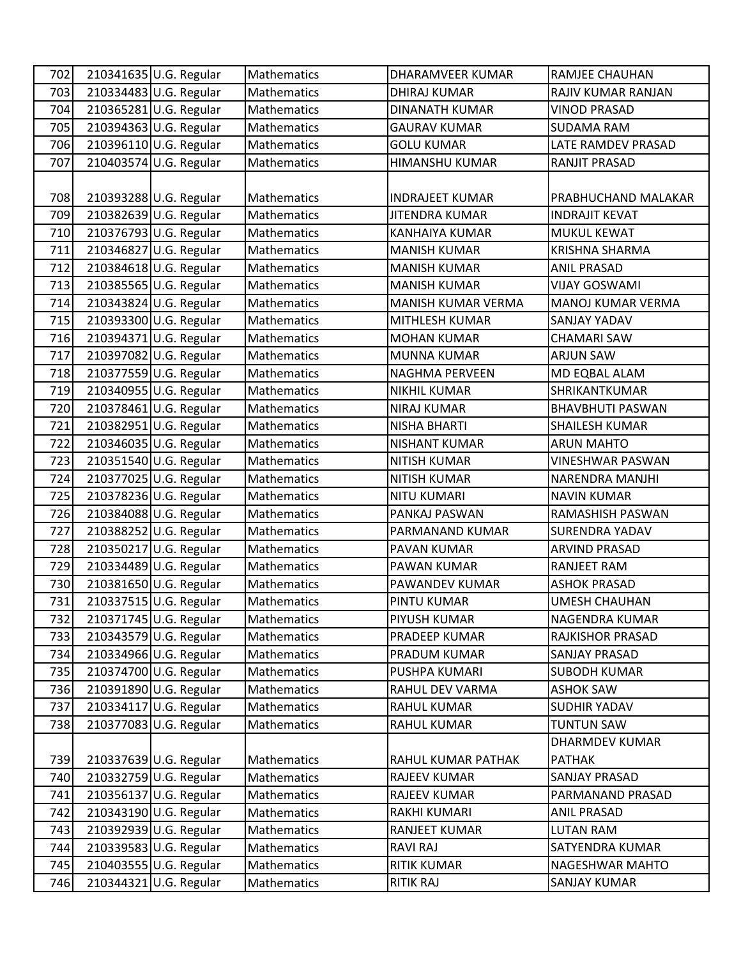| 702 | 210341635 U.G. Regular | Mathematics | DHARAMVEER KUMAR       | RAMJEE CHAUHAN           |
|-----|------------------------|-------------|------------------------|--------------------------|
| 703 | 210334483 U.G. Regular | Mathematics | <b>DHIRAJ KUMAR</b>    | RAJIV KUMAR RANJAN       |
| 704 | 210365281 U.G. Regular | Mathematics | <b>DINANATH KUMAR</b>  | <b>VINOD PRASAD</b>      |
| 705 | 210394363 U.G. Regular | Mathematics | <b>GAURAV KUMAR</b>    | <b>SUDAMA RAM</b>        |
| 706 | 210396110 U.G. Regular | Mathematics | <b>GOLU KUMAR</b>      | LATE RAMDEV PRASAD       |
| 707 | 210403574 U.G. Regular | Mathematics | HIMANSHU KUMAR         | RANJIT PRASAD            |
|     |                        |             |                        |                          |
| 708 | 210393288 U.G. Regular | Mathematics | <b>INDRAJEET KUMAR</b> | PRABHUCHAND MALAKAR      |
| 709 | 210382639 U.G. Regular | Mathematics | <b>JITENDRA KUMAR</b>  | <b>INDRAJIT KEVAT</b>    |
| 710 | 210376793 U.G. Regular | Mathematics | <b>KANHAIYA KUMAR</b>  | <b>MUKUL KEWAT</b>       |
| 711 | 210346827 U.G. Regular | Mathematics | <b>MANISH KUMAR</b>    | <b>KRISHNA SHARMA</b>    |
| 712 | 210384618 U.G. Regular | Mathematics | <b>MANISH KUMAR</b>    | <b>ANIL PRASAD</b>       |
| 713 | 210385565 U.G. Regular | Mathematics | <b>MANISH KUMAR</b>    | <b>VIJAY GOSWAMI</b>     |
| 714 | 210343824 U.G. Regular | Mathematics | MANISH KUMAR VERMA     | <b>MANOJ KUMAR VERMA</b> |
| 715 | 210393300 U.G. Regular | Mathematics | MITHLESH KUMAR         | SANJAY YADAV             |
| 716 | 210394371 U.G. Regular | Mathematics | <b>MOHAN KUMAR</b>     | <b>CHAMARI SAW</b>       |
| 717 | 210397082 U.G. Regular | Mathematics | <b>MUNNA KUMAR</b>     | <b>ARJUN SAW</b>         |
| 718 | 210377559 U.G. Regular | Mathematics | NAGHMA PERVEEN         | MD EQBAL ALAM            |
| 719 | 210340955 U.G. Regular | Mathematics | <b>NIKHIL KUMAR</b>    | SHRIKANTKUMAR            |
| 720 | 210378461 U.G. Regular | Mathematics | <b>NIRAJ KUMAR</b>     | <b>BHAVBHUTI PASWAN</b>  |
| 721 | 210382951 U.G. Regular | Mathematics | <b>NISHA BHARTI</b>    | <b>SHAILESH KUMAR</b>    |
| 722 | 210346035 U.G. Regular | Mathematics | NISHANT KUMAR          | <b>ARUN MAHTO</b>        |
| 723 | 210351540 U.G. Regular | Mathematics | <b>NITISH KUMAR</b>    | <b>VINESHWAR PASWAN</b>  |
| 724 | 210377025 U.G. Regular | Mathematics | <b>NITISH KUMAR</b>    | NARENDRA MANJHI          |
| 725 | 210378236 U.G. Regular | Mathematics | <b>NITU KUMARI</b>     | <b>NAVIN KUMAR</b>       |
| 726 | 210384088 U.G. Regular | Mathematics | PANKAJ PASWAN          | RAMASHISH PASWAN         |
| 727 | 210388252 U.G. Regular | Mathematics | PARMANAND KUMAR        | <b>SURENDRA YADAV</b>    |
| 728 | 210350217 U.G. Regular | Mathematics | PAVAN KUMAR            | <b>ARVIND PRASAD</b>     |
| 729 | 210334489 U.G. Regular | Mathematics | PAWAN KUMAR            | <b>RANJEET RAM</b>       |
| 730 | 210381650 U.G. Regular | Mathematics | PAWANDEV KUMAR         | <b>ASHOK PRASAD</b>      |
| 731 | 210337515 U.G. Regular | Mathematics | <b>PINTU KUMAR</b>     | <b>UMESH CHAUHAN</b>     |
| 732 | 210371745 U.G. Regular | Mathematics | PIYUSH KUMAR           | NAGENDRA KUMAR           |
| 733 | 210343579 U.G. Regular | Mathematics | PRADEEP KUMAR          | RAJKISHOR PRASAD         |
| 734 | 210334966 U.G. Regular | Mathematics | PRADUM KUMAR           | SANJAY PRASAD            |
| 735 | 210374700 U.G. Regular | Mathematics | PUSHPA KUMARI          | <b>SUBODH KUMAR</b>      |
| 736 | 210391890 U.G. Regular | Mathematics | RAHUL DEV VARMA        | <b>ASHOK SAW</b>         |
| 737 | 210334117 U.G. Regular | Mathematics | <b>RAHUL KUMAR</b>     | <b>SUDHIR YADAV</b>      |
| 738 | 210377083 U.G. Regular | Mathematics | <b>RAHUL KUMAR</b>     | <b>TUNTUN SAW</b>        |
|     |                        |             |                        | <b>DHARMDEV KUMAR</b>    |
| 739 | 210337639 U.G. Regular | Mathematics | RAHUL KUMAR PATHAK     | <b>PATHAK</b>            |
| 740 | 210332759 U.G. Regular | Mathematics | RAJEEV KUMAR           | SANJAY PRASAD            |
| 741 | 210356137 U.G. Regular | Mathematics | RAJEEV KUMAR           | PARMANAND PRASAD         |
| 742 | 210343190 U.G. Regular | Mathematics | RAKHI KUMARI           | <b>ANIL PRASAD</b>       |
| 743 | 210392939 U.G. Regular | Mathematics | RANJEET KUMAR          | <b>LUTAN RAM</b>         |
| 744 | 210339583 U.G. Regular | Mathematics | <b>RAVI RAJ</b>        | SATYENDRA KUMAR          |
| 745 | 210403555 U.G. Regular | Mathematics | <b>RITIK KUMAR</b>     | NAGESHWAR MAHTO          |
| 746 | 210344321 U.G. Regular | Mathematics | <b>RITIK RAJ</b>       | SANJAY KUMAR             |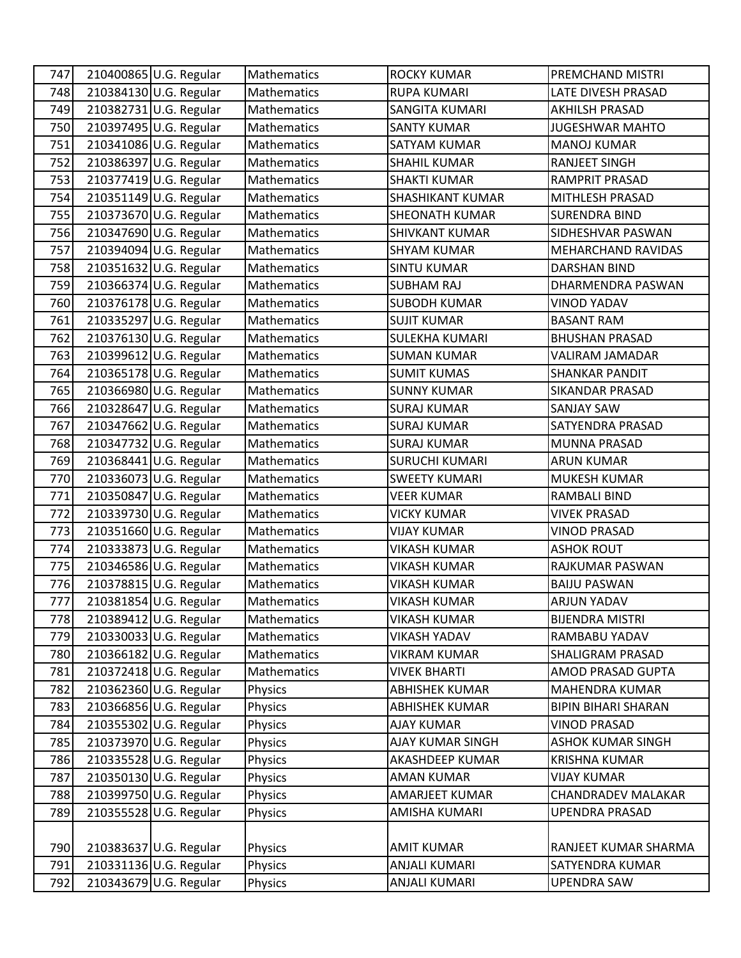| 747 | 210400865 U.G. Regular | Mathematics        | <b>ROCKY KUMAR</b>    | PREMCHAND MISTRI           |
|-----|------------------------|--------------------|-----------------------|----------------------------|
| 748 | 210384130 U.G. Regular | Mathematics        | <b>RUPA KUMARI</b>    | LATE DIVESH PRASAD         |
| 749 | 210382731 U.G. Regular | Mathematics        | <b>SANGITA KUMARI</b> | <b>AKHILSH PRASAD</b>      |
| 750 | 210397495 U.G. Regular | Mathematics        | <b>SANTY KUMAR</b>    | <b>JUGESHWAR MAHTO</b>     |
| 751 | 210341086 U.G. Regular | Mathematics        | SATYAM KUMAR          | <b>MANOJ KUMAR</b>         |
| 752 | 210386397 U.G. Regular | Mathematics        | <b>SHAHIL KUMAR</b>   | <b>RANJEET SINGH</b>       |
| 753 | 210377419 U.G. Regular | Mathematics        | <b>SHAKTI KUMAR</b>   | RAMPRIT PRASAD             |
| 754 | 210351149 U.G. Regular | <b>Mathematics</b> | SHASHIKANT KUMAR      | MITHLESH PRASAD            |
| 755 | 210373670 U.G. Regular | Mathematics        | <b>SHEONATH KUMAR</b> | <b>SURENDRA BIND</b>       |
| 756 | 210347690 U.G. Regular | Mathematics        | <b>SHIVKANT KUMAR</b> | SIDHESHVAR PASWAN          |
| 757 | 210394094 U.G. Regular | Mathematics        | <b>SHYAM KUMAR</b>    | MEHARCHAND RAVIDAS         |
| 758 | 210351632 U.G. Regular | Mathematics        | <b>SINTU KUMAR</b>    | <b>DARSHAN BIND</b>        |
| 759 | 210366374 U.G. Regular | <b>Mathematics</b> | <b>SUBHAM RAJ</b>     | DHARMENDRA PASWAN          |
| 760 | 210376178 U.G. Regular | Mathematics        | <b>SUBODH KUMAR</b>   | <b>VINOD YADAV</b>         |
| 761 | 210335297 U.G. Regular | <b>Mathematics</b> | <b>SUJIT KUMAR</b>    | <b>BASANT RAM</b>          |
| 762 | 210376130 U.G. Regular | Mathematics        | <b>SULEKHA KUMARI</b> | <b>BHUSHAN PRASAD</b>      |
| 763 | 210399612 U.G. Regular | Mathematics        | <b>SUMAN KUMAR</b>    | <b>VALIRAM JAMADAR</b>     |
| 764 | 210365178 U.G. Regular | Mathematics        | <b>SUMIT KUMAS</b>    | <b>SHANKAR PANDIT</b>      |
| 765 | 210366980 U.G. Regular | Mathematics        | <b>SUNNY KUMAR</b>    | <b>SIKANDAR PRASAD</b>     |
| 766 | 210328647 U.G. Regular | Mathematics        | <b>SURAJ KUMAR</b>    | <b>SANJAY SAW</b>          |
| 767 | 210347662 U.G. Regular | Mathematics        | <b>SURAJ KUMAR</b>    | SATYENDRA PRASAD           |
| 768 | 210347732 U.G. Regular | Mathematics        | <b>SURAJ KUMAR</b>    | <b>MUNNA PRASAD</b>        |
| 769 | 210368441 U.G. Regular | Mathematics        | <b>SURUCHI KUMARI</b> | <b>ARUN KUMAR</b>          |
| 770 | 210336073 U.G. Regular | Mathematics        | <b>SWEETY KUMARI</b>  | <b>MUKESH KUMAR</b>        |
| 771 | 210350847 U.G. Regular | Mathematics        | <b>VEER KUMAR</b>     | RAMBALI BIND               |
| 772 | 210339730 U.G. Regular | Mathematics        | <b>VICKY KUMAR</b>    | <b>VIVEK PRASAD</b>        |
| 773 | 210351660 U.G. Regular | <b>Mathematics</b> | <b>VIJAY KUMAR</b>    | <b>VINOD PRASAD</b>        |
| 774 | 210333873 U.G. Regular | Mathematics        | <b>VIKASH KUMAR</b>   | <b>ASHOK ROUT</b>          |
| 775 | 210346586 U.G. Regular | Mathematics        | <b>VIKASH KUMAR</b>   | RAJKUMAR PASWAN            |
| 776 | 210378815 U.G. Regular | Mathematics        | <b>VIKASH KUMAR</b>   | <b>BAIJU PASWAN</b>        |
| 777 | 210381854 U.G. Regular | Mathematics        | VIKASH KUMAR          | <b>ARJUN YADAV</b>         |
| 778 | 210389412 U.G. Regular | Mathematics        | VIKASH KUMAR          | <b>BIJENDRA MISTRI</b>     |
| 779 | 210330033 U.G. Regular | Mathematics        | <b>VIKASH YADAV</b>   | RAMBABU YADAV              |
| 780 | 210366182 U.G. Regular | <b>Mathematics</b> | VIKRAM KUMAR          | <b>SHALIGRAM PRASAD</b>    |
| 781 | 210372418 U.G. Regular | <b>Mathematics</b> | <b>VIVEK BHARTI</b>   | AMOD PRASAD GUPTA          |
| 782 | 210362360 U.G. Regular | Physics            | <b>ABHISHEK KUMAR</b> | MAHENDRA KUMAR             |
| 783 | 210366856 U.G. Regular | Physics            | ABHISHEK KUMAR        | <b>BIPIN BIHARI SHARAN</b> |
| 784 | 210355302 U.G. Regular | Physics            | <b>AJAY KUMAR</b>     | <b>VINOD PRASAD</b>        |
| 785 | 210373970 U.G. Regular | Physics            | AJAY KUMAR SINGH      | ASHOK KUMAR SINGH          |
| 786 | 210335528 U.G. Regular | Physics            | AKASHDEEP KUMAR       | <b>KRISHNA KUMAR</b>       |
| 787 | 210350130 U.G. Regular | Physics            | AMAN KUMAR            | <b>VIJAY KUMAR</b>         |
| 788 | 210399750 U.G. Regular | Physics            | AMARJEET KUMAR        | <b>CHANDRADEV MALAKAR</b>  |
| 789 | 210355528 U.G. Regular | Physics            | AMISHA KUMARI         | <b>UPENDRA PRASAD</b>      |
|     |                        |                    |                       |                            |
| 790 | 210383637 U.G. Regular | Physics            | <b>AMIT KUMAR</b>     | RANJEET KUMAR SHARMA       |
| 791 | 210331136 U.G. Regular | Physics            | <b>ANJALI KUMARI</b>  | SATYENDRA KUMAR            |
| 792 | 210343679 U.G. Regular | Physics            | <b>ANJALI KUMARI</b>  | <b>UPENDRA SAW</b>         |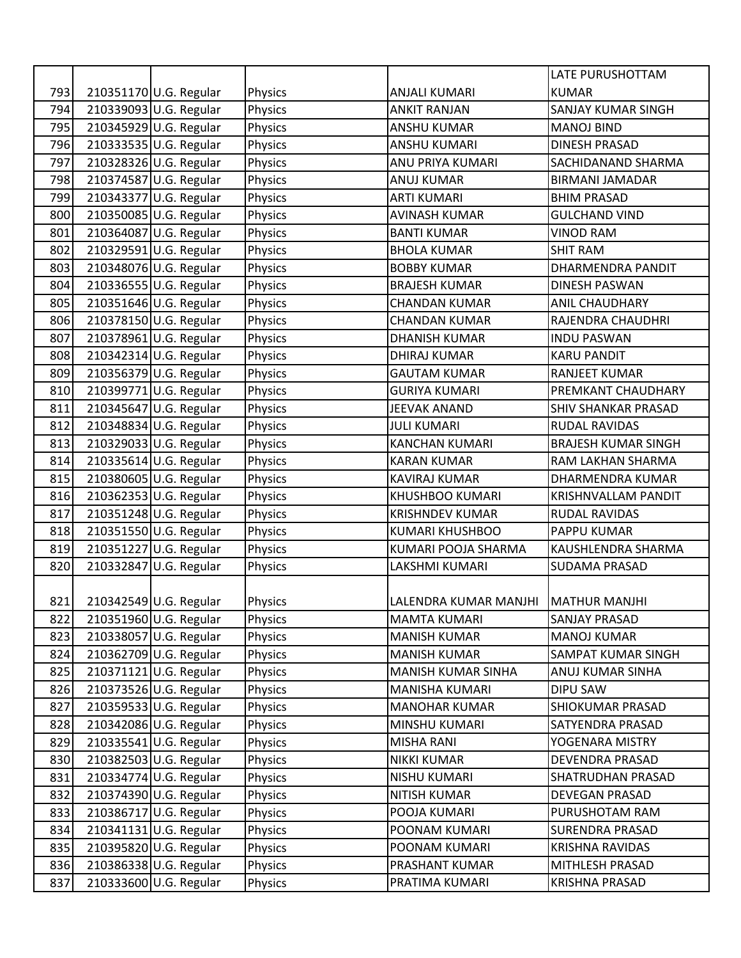|     |                        |                |                        | LATE PURUSHOTTAM           |
|-----|------------------------|----------------|------------------------|----------------------------|
| 793 | 210351170 U.G. Regular | <b>Physics</b> | <b>ANJALI KUMARI</b>   | <b>KUMAR</b>               |
| 794 | 210339093 U.G. Regular | Physics        | <b>ANKIT RANJAN</b>    | <b>SANJAY KUMAR SINGH</b>  |
| 795 | 210345929 U.G. Regular | Physics        | <b>ANSHU KUMAR</b>     | <b>MANOJ BIND</b>          |
| 796 | 210333535 U.G. Regular | <b>Physics</b> | <b>ANSHU KUMARI</b>    | <b>DINESH PRASAD</b>       |
| 797 | 210328326 U.G. Regular | Physics        | ANU PRIYA KUMARI       | SACHIDANAND SHARMA         |
| 798 | 210374587 U.G. Regular | <b>Physics</b> | <b>ANUJ KUMAR</b>      | <b>BIRMANI JAMADAR</b>     |
| 799 | 210343377 U.G. Regular | Physics        | <b>ARTI KUMARI</b>     | <b>BHIM PRASAD</b>         |
| 800 | 210350085 U.G. Regular | Physics        | <b>AVINASH KUMAR</b>   | <b>GULCHAND VIND</b>       |
| 801 | 210364087 U.G. Regular | Physics        | <b>BANTI KUMAR</b>     | <b>VINOD RAM</b>           |
| 802 | 210329591 U.G. Regular | <b>Physics</b> | <b>BHOLA KUMAR</b>     | <b>SHIT RAM</b>            |
| 803 | 210348076 U.G. Regular | <b>Physics</b> | <b>BOBBY KUMAR</b>     | DHARMENDRA PANDIT          |
| 804 | 210336555 U.G. Regular | Physics        | <b>BRAJESH KUMAR</b>   | <b>DINESH PASWAN</b>       |
| 805 | 210351646 U.G. Regular | <b>Physics</b> | <b>CHANDAN KUMAR</b>   | <b>ANIL CHAUDHARY</b>      |
| 806 | 210378150 U.G. Regular | Physics        | <b>CHANDAN KUMAR</b>   | RAJENDRA CHAUDHRI          |
| 807 | 210378961 U.G. Regular | Physics        | <b>DHANISH KUMAR</b>   | <b>INDU PASWAN</b>         |
| 808 | 210342314 U.G. Regular | Physics        | <b>DHIRAJ KUMAR</b>    | <b>KARU PANDIT</b>         |
| 809 | 210356379 U.G. Regular | <b>Physics</b> | <b>GAUTAM KUMAR</b>    | <b>RANJEET KUMAR</b>       |
| 810 | 210399771 U.G. Regular | <b>Physics</b> | <b>GURIYA KUMARI</b>   | PREMKANT CHAUDHARY         |
| 811 | 210345647 U.G. Regular | Physics        | <b>JEEVAK ANAND</b>    | <b>SHIV SHANKAR PRASAD</b> |
| 812 | 210348834 U.G. Regular | Physics        | <b>JULI KUMARI</b>     | <b>RUDAL RAVIDAS</b>       |
| 813 | 210329033 U.G. Regular | Physics        | <b>KANCHAN KUMARI</b>  | <b>BRAJESH KUMAR SINGH</b> |
| 814 | 210335614 U.G. Regular | Physics        | <b>KARAN KUMAR</b>     | RAM LAKHAN SHARMA          |
| 815 | 210380605 U.G. Regular | <b>Physics</b> | <b>KAVIRAJ KUMAR</b>   | DHARMENDRA KUMAR           |
| 816 | 210362353 U.G. Regular | Physics        | <b>KHUSHBOO KUMARI</b> | KRISHNVALLAM PANDIT        |
| 817 | 210351248 U.G. Regular | <b>Physics</b> | <b>KRISHNDEV KUMAR</b> | <b>RUDAL RAVIDAS</b>       |
| 818 | 210351550 U.G. Regular | Physics        | <b>KUMARI KHUSHBOO</b> | PAPPU KUMAR                |
| 819 | 210351227 U.G. Regular | Physics        | KUMARI POOJA SHARMA    | KAUSHLENDRA SHARMA         |
| 820 | 210332847 U.G. Regular | Physics        | LAKSHMI KUMARI         | SUDAMA PRASAD              |
|     |                        |                |                        |                            |
| 821 | 210342549 U.G. Regular | <b>Physics</b> | LALENDRA KUMAR MANJHI  | <b>IMATHUR MANJHI</b>      |
| 822 | 210351960 U.G. Regular | Physics        | <b>MAMTA KUMARI</b>    | SANJAY PRASAD              |
| 823 | 210338057 U.G. Regular | Physics        | <b>MANISH KUMAR</b>    | <b>MANOJ KUMAR</b>         |
| 824 | 210362709 U.G. Regular | Physics        | <b>MANISH KUMAR</b>    | SAMPAT KUMAR SINGH         |
| 825 | 210371121 U.G. Regular | Physics        | MANISH KUMAR SINHA     | ANUJ KUMAR SINHA           |
| 826 | 210373526 U.G. Regular | Physics        | <b>MANISHA KUMARI</b>  | DIPU SAW                   |
| 827 | 210359533 U.G. Regular | Physics        | <b>MANOHAR KUMAR</b>   | SHIOKUMAR PRASAD           |
| 828 | 210342086 U.G. Regular | Physics        | MINSHU KUMARI          | SATYENDRA PRASAD           |
| 829 | 210335541 U.G. Regular | Physics        | <b>MISHA RANI</b>      | YOGENARA MISTRY            |
| 830 | 210382503 U.G. Regular | Physics        | <b>NIKKI KUMAR</b>     | DEVENDRA PRASAD            |
| 831 | 210334774 U.G. Regular | Physics        | NISHU KUMARI           | SHATRUDHAN PRASAD          |
| 832 | 210374390 U.G. Regular | Physics        | NITISH KUMAR           | <b>DEVEGAN PRASAD</b>      |
| 833 | 210386717 U.G. Regular | <b>Physics</b> | POOJA KUMARI           | PURUSHOTAM RAM             |
| 834 | 210341131 U.G. Regular | Physics        | POONAM KUMARI          | <b>SURENDRA PRASAD</b>     |
| 835 | 210395820 U.G. Regular | Physics        | POONAM KUMARI          | <b>KRISHNA RAVIDAS</b>     |
| 836 | 210386338 U.G. Regular | Physics        | PRASHANT KUMAR         | MITHLESH PRASAD            |
| 837 | 210333600 U.G. Regular | Physics        | PRATIMA KUMARI         | KRISHNA PRASAD             |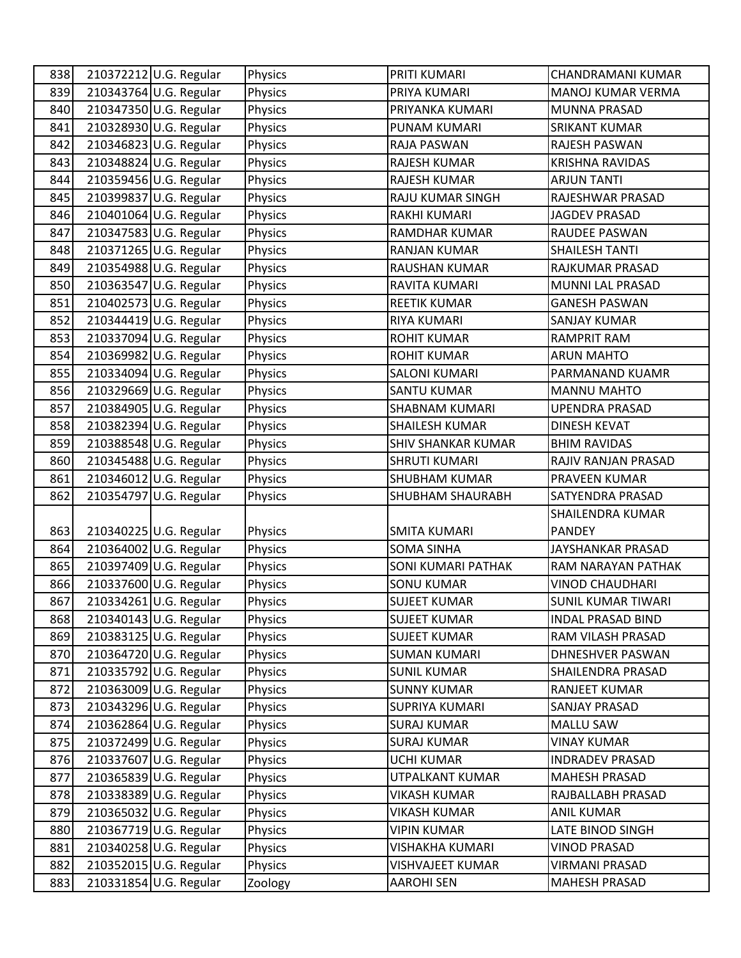| 838 | 210372212 U.G. Regular | Physics | PRITI KUMARI              | <b>CHANDRAMANI KUMAR</b>  |
|-----|------------------------|---------|---------------------------|---------------------------|
| 839 | 210343764 U.G. Regular | Physics | PRIYA KUMARI              | MANOJ KUMAR VERMA         |
| 840 | 210347350 U.G. Regular | Physics | PRIYANKA KUMARI           | MUNNA PRASAD              |
| 841 | 210328930 U.G. Regular | Physics | PUNAM KUMARI              | <b>SRIKANT KUMAR</b>      |
| 842 | 210346823 U.G. Regular | Physics | RAJA PASWAN               | RAJESH PASWAN             |
| 843 | 210348824 U.G. Regular | Physics | <b>RAJESH KUMAR</b>       | <b>KRISHNA RAVIDAS</b>    |
| 844 | 210359456 U.G. Regular | Physics | <b>RAJESH KUMAR</b>       | <b>ARJUN TANTI</b>        |
| 845 | 210399837 U.G. Regular | Physics | RAJU KUMAR SINGH          | RAJESHWAR PRASAD          |
| 846 | 210401064 U.G. Regular | Physics | <b>RAKHI KUMARI</b>       | <b>JAGDEV PRASAD</b>      |
| 847 | 210347583 U.G. Regular | Physics | RAMDHAR KUMAR             | RAUDEE PASWAN             |
| 848 | 210371265 U.G. Regular | Physics | <b>RANJAN KUMAR</b>       | <b>SHAILESH TANTI</b>     |
| 849 | 210354988 U.G. Regular | Physics | <b>RAUSHAN KUMAR</b>      | RAJKUMAR PRASAD           |
| 850 | 210363547 U.G. Regular | Physics | RAVITA KUMARI             | MUNNI LAL PRASAD          |
| 851 | 210402573 U.G. Regular | Physics | <b>REETIK KUMAR</b>       | <b>GANESH PASWAN</b>      |
| 852 | 210344419 U.G. Regular | Physics | RIYA KUMARI               | <b>SANJAY KUMAR</b>       |
| 853 | 210337094 U.G. Regular | Physics | <b>ROHIT KUMAR</b>        | RAMPRIT RAM               |
| 854 | 210369982 U.G. Regular | Physics | <b>ROHIT KUMAR</b>        | <b>ARUN MAHTO</b>         |
| 855 | 210334094 U.G. Regular | Physics | <b>SALONI KUMARI</b>      | PARMANAND KUAMR           |
| 856 | 210329669 U.G. Regular | Physics | <b>SANTU KUMAR</b>        | <b>MANNU MAHTO</b>        |
| 857 | 210384905 U.G. Regular | Physics | <b>SHABNAM KUMARI</b>     | <b>UPENDRA PRASAD</b>     |
| 858 | 210382394 U.G. Regular | Physics | <b>SHAILESH KUMAR</b>     | <b>DINESH KEVAT</b>       |
| 859 | 210388548 U.G. Regular | Physics | <b>SHIV SHANKAR KUMAR</b> | <b>BHIM RAVIDAS</b>       |
| 860 | 210345488 U.G. Regular | Physics | <b>SHRUTI KUMARI</b>      | RAJIV RANJAN PRASAD       |
| 861 | 210346012 U.G. Regular | Physics | <b>SHUBHAM KUMAR</b>      | PRAVEEN KUMAR             |
| 862 | 210354797 U.G. Regular | Physics | <b>SHUBHAM SHAURABH</b>   | SATYENDRA PRASAD          |
|     |                        |         |                           | SHAILENDRA KUMAR          |
| 863 | 210340225 U.G. Regular | Physics | <b>SMITA KUMARI</b>       | <b>PANDEY</b>             |
| 864 | 210364002 U.G. Regular | Physics | <b>SOMA SINHA</b>         | JAYSHANKAR PRASAD         |
| 865 | 210397409 U.G. Regular | Physics | SONI KUMARI PATHAK        | RAM NARAYAN PATHAK        |
| 866 | 210337600 U.G. Regular | Physics | <b>SONU KUMAR</b>         | <b>VINOD CHAUDHARI</b>    |
| 867 | 210334261 U.G. Regular | Physics | <b>SUJEET KUMAR</b>       | <b>SUNIL KUMAR TIWARI</b> |
| 868 | 210340143 U.G. Regular | Physics | <b>SUJEET KUMAR</b>       | <b>INDAL PRASAD BIND</b>  |
| 869 | 210383125 U.G. Regular | Physics | <b>SUJEET KUMAR</b>       | RAM VILASH PRASAD         |
| 870 | 210364720 U.G. Regular | Physics | <b>SUMAN KUMARI</b>       | DHNESHVER PASWAN          |
| 871 | 210335792 U.G. Regular | Physics | <b>SUNIL KUMAR</b>        | SHAILENDRA PRASAD         |
| 872 | 210363009 U.G. Regular | Physics | <b>SUNNY KUMAR</b>        | <b>RANJEET KUMAR</b>      |
| 873 | 210343296 U.G. Regular | Physics | <b>SUPRIYA KUMARI</b>     | SANJAY PRASAD             |
| 874 | 210362864 U.G. Regular | Physics | <b>SURAJ KUMAR</b>        | <b>MALLU SAW</b>          |
| 875 | 210372499 U.G. Regular | Physics | <b>SURAJ KUMAR</b>        | <b>VINAY KUMAR</b>        |
| 876 | 210337607 U.G. Regular | Physics | <b>UCHI KUMAR</b>         | <b>INDRADEV PRASAD</b>    |
| 877 | 210365839 U.G. Regular | Physics | UTPALKANT KUMAR           | MAHESH PRASAD             |
| 878 | 210338389 U.G. Regular | Physics | <b>VIKASH KUMAR</b>       | RAJBALLABH PRASAD         |
| 879 | 210365032 U.G. Regular | Physics | <b>VIKASH KUMAR</b>       | <b>ANIL KUMAR</b>         |
| 880 | 210367719 U.G. Regular | Physics | <b>VIPIN KUMAR</b>        | LATE BINOD SINGH          |
| 881 | 210340258 U.G. Regular | Physics | <b>VISHAKHA KUMARI</b>    | <b>VINOD PRASAD</b>       |
| 882 | 210352015 U.G. Regular | Physics | <b>VISHVAJEET KUMAR</b>   | <b>VIRMANI PRASAD</b>     |
| 883 | 210331854 U.G. Regular | Zoology | <b>AAROHI SEN</b>         | MAHESH PRASAD             |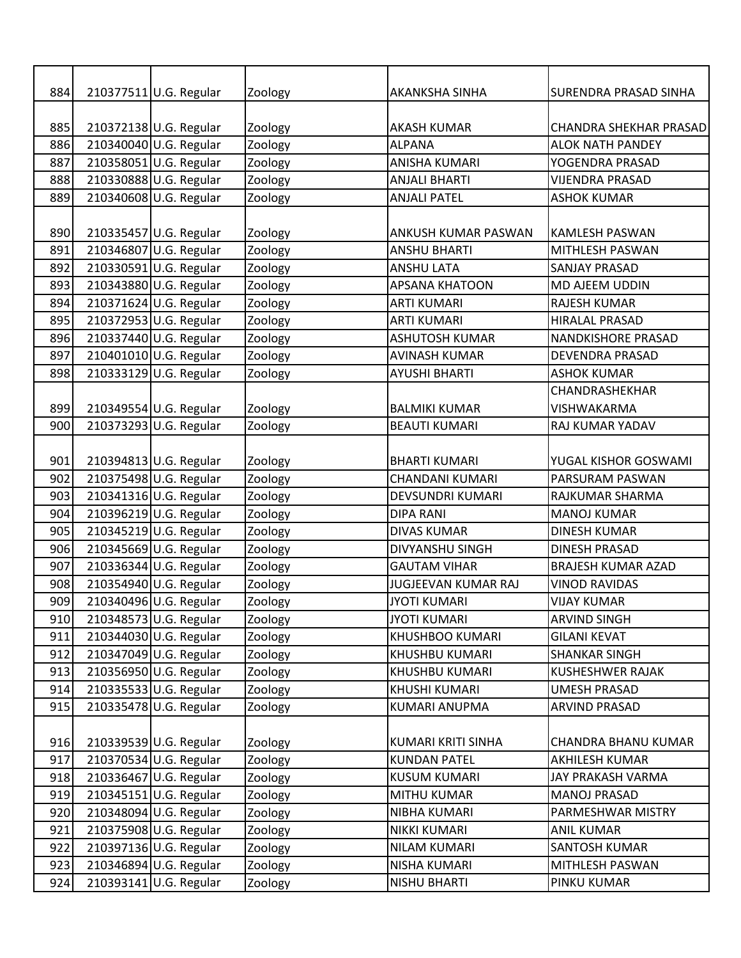| 884 | 210377511 U.G. Regular | Zoology | <b>AKANKSHA SINHA</b>      | <b>SURENDRA PRASAD SINHA</b>         |
|-----|------------------------|---------|----------------------------|--------------------------------------|
| 885 | 210372138 U.G. Regular | Zoology | <b>AKASH KUMAR</b>         | <b>CHANDRA SHEKHAR PRASAD</b>        |
| 886 | 210340040 U.G. Regular | Zoology | <b>ALPANA</b>              | <b>ALOK NATH PANDEY</b>              |
| 887 | 210358051 U.G. Regular | Zoology | <b>ANISHA KUMARI</b>       | YOGENDRA PRASAD                      |
| 888 | 210330888 U.G. Regular | Zoology | <b>ANJALI BHARTI</b>       | <b>VIJENDRA PRASAD</b>               |
| 889 | 210340608 U.G. Regular | Zoology | <b>ANJALI PATEL</b>        | <b>ASHOK KUMAR</b>                   |
| 890 | 210335457 U.G. Regular | Zoology | ANKUSH KUMAR PASWAN        | <b>KAMLESH PASWAN</b>                |
| 891 | 210346807 U.G. Regular | Zoology | <b>ANSHU BHARTI</b>        | MITHLESH PASWAN                      |
| 892 | 210330591 U.G. Regular | Zoology | <b>ANSHU LATA</b>          | <b>SANJAY PRASAD</b>                 |
| 893 | 210343880 U.G. Regular | Zoology | <b>APSANA KHATOON</b>      | MD AJEEM UDDIN                       |
| 894 | 210371624 U.G. Regular | Zoology | <b>ARTI KUMARI</b>         | <b>RAJESH KUMAR</b>                  |
| 895 | 210372953 U.G. Regular | Zoology | <b>ARTI KUMARI</b>         | <b>HIRALAL PRASAD</b>                |
| 896 | 210337440 U.G. Regular | Zoology | <b>ASHUTOSH KUMAR</b>      | NANDKISHORE PRASAD                   |
| 897 | 210401010 U.G. Regular | Zoology | <b>AVINASH KUMAR</b>       | <b>DEVENDRA PRASAD</b>               |
| 898 | 210333129 U.G. Regular | Zoology | <b>AYUSHI BHARTI</b>       | <b>ASHOK KUMAR</b>                   |
| 899 | 210349554 U.G. Regular | Zoology | <b>BALMIKI KUMAR</b>       | CHANDRASHEKHAR<br><b>VISHWAKARMA</b> |
| 900 | 210373293 U.G. Regular | Zoology | <b>BEAUTI KUMARI</b>       | RAJ KUMAR YADAV                      |
| 901 | 210394813 U.G. Regular | Zoology | <b>BHARTI KUMARI</b>       | YUGAL KISHOR GOSWAMI                 |
| 902 | 210375498 U.G. Regular | Zoology | <b>CHANDANI KUMARI</b>     | PARSURAM PASWAN                      |
| 903 | 210341316 U.G. Regular | Zoology | <b>DEVSUNDRI KUMARI</b>    | RAJKUMAR SHARMA                      |
| 904 | 210396219 U.G. Regular | Zoology | <b>DIPA RANI</b>           | <b>MANOJ KUMAR</b>                   |
| 905 | 210345219 U.G. Regular | Zoology | <b>DIVAS KUMAR</b>         | <b>DINESH KUMAR</b>                  |
| 906 | 210345669 U.G. Regular | Zoology | <b>DIVYANSHU SINGH</b>     | <b>DINESH PRASAD</b>                 |
| 907 | 210336344 U.G. Regular | Zoology | <b>GAUTAM VIHAR</b>        | <b>BRAJESH KUMAR AZAD</b>            |
| 908 | 210354940 U.G. Regular | Zoology | <b>JUGJEEVAN KUMAR RAJ</b> | <b>VINOD RAVIDAS</b>                 |
| 909 | 210340496 U.G. Regular | Zoology | <b>JYOTI KUMARI</b>        | <b>VIJAY KUMAR</b>                   |
| 910 | 210348573 U.G. Regular | Zoology | <b>JYOTI KUMARI</b>        | <b>ARVIND SINGH</b>                  |
| 911 | 210344030 U.G. Regular | Zoology | <b>KHUSHBOO KUMARI</b>     | <b>GILANI KEVAT</b>                  |
| 912 | 210347049 U.G. Regular | Zoology | <b>KHUSHBU KUMARI</b>      | <b>SHANKAR SINGH</b>                 |
| 913 | 210356950 U.G. Regular | Zoology | <b>KHUSHBU KUMARI</b>      | <b>KUSHESHWER RAJAK</b>              |
| 914 | 210335533 U.G. Regular | Zoology | <b>KHUSHI KUMARI</b>       | <b>UMESH PRASAD</b>                  |
| 915 | 210335478 U.G. Regular | Zoology | <b>KUMARI ANUPMA</b>       | <b>ARVIND PRASAD</b>                 |
| 916 | 210339539 U.G. Regular | Zoology | KUMARI KRITI SINHA         | CHANDRA BHANU KUMAR                  |
| 917 | 210370534 U.G. Regular | Zoology | <b>KUNDAN PATEL</b>        | AKHILESH KUMAR                       |
| 918 | 210336467 U.G. Regular | Zoology | <b>KUSUM KUMARI</b>        | JAY PRAKASH VARMA                    |
| 919 | 210345151 U.G. Regular | Zoology | <b>MITHU KUMAR</b>         | <b>MANOJ PRASAD</b>                  |
| 920 | 210348094 U.G. Regular | Zoology | <b>NIBHA KUMARI</b>        | PARMESHWAR MISTRY                    |
| 921 | 210375908 U.G. Regular | Zoology | <b>NIKKI KUMARI</b>        | <b>ANIL KUMAR</b>                    |
| 922 | 210397136 U.G. Regular | Zoology | <b>NILAM KUMARI</b>        | SANTOSH KUMAR                        |
| 923 | 210346894 U.G. Regular | Zoology | NISHA KUMARI               | MITHLESH PASWAN                      |
| 924 | 210393141 U.G. Regular | Zoology | NISHU BHARTI               | PINKU KUMAR                          |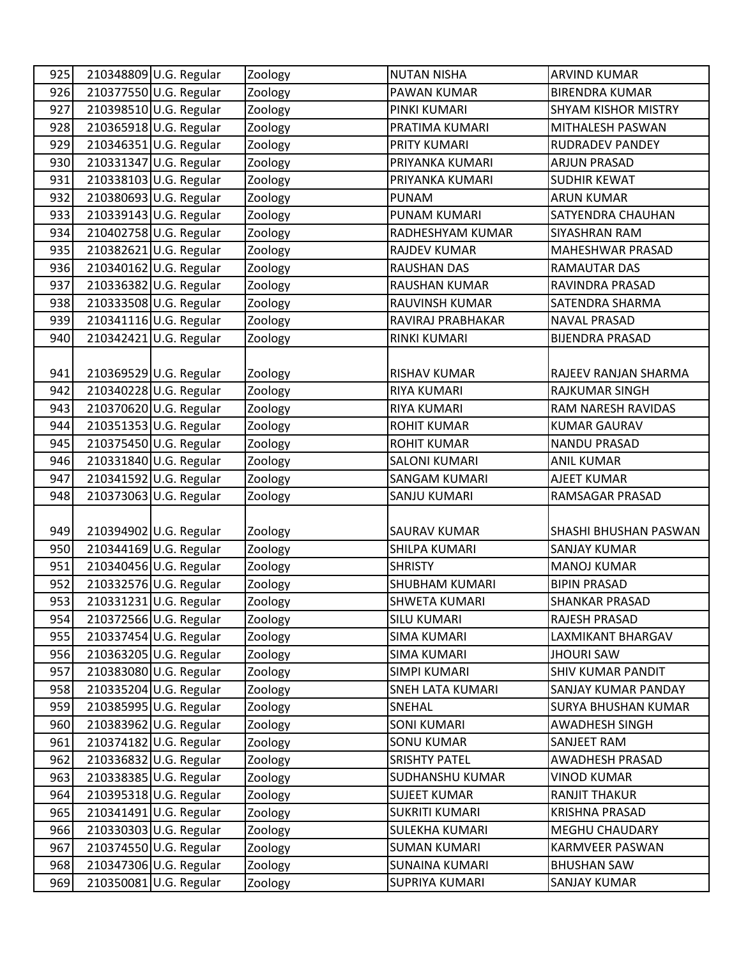| 925 | 210348809 U.G. Regular | Zoology | <b>NUTAN NISHA</b>      | <b>ARVIND KUMAR</b>        |
|-----|------------------------|---------|-------------------------|----------------------------|
| 926 | 210377550 U.G. Regular | Zoology | PAWAN KUMAR             | <b>BIRENDRA KUMAR</b>      |
| 927 | 210398510 U.G. Regular | Zoology | PINKI KUMARI            | <b>SHYAM KISHOR MISTRY</b> |
| 928 | 210365918 U.G. Regular | Zoology | PRATIMA KUMARI          | MITHALESH PASWAN           |
| 929 | 210346351 U.G. Regular | Zoology | PRITY KUMARI            | <b>RUDRADEV PANDEY</b>     |
| 930 | 210331347 U.G. Regular | Zoology | PRIYANKA KUMARI         | <b>ARJUN PRASAD</b>        |
| 931 | 210338103 U.G. Regular | Zoology | PRIYANKA KUMARI         | <b>SUDHIR KEWAT</b>        |
| 932 | 210380693 U.G. Regular | Zoology | <b>PUNAM</b>            | <b>ARUN KUMAR</b>          |
| 933 | 210339143 U.G. Regular | Zoology | PUNAM KUMARI            | SATYENDRA CHAUHAN          |
| 934 | 210402758 U.G. Regular | Zoology | RADHESHYAM KUMAR        | SIYASHRAN RAM              |
| 935 | 210382621 U.G. Regular | Zoology | <b>RAJDEV KUMAR</b>     | MAHESHWAR PRASAD           |
| 936 | 210340162 U.G. Regular | Zoology | <b>RAUSHAN DAS</b>      | RAMAUTAR DAS               |
| 937 | 210336382 U.G. Regular | Zoology | RAUSHAN KUMAR           | RAVINDRA PRASAD            |
| 938 | 210333508 U.G. Regular | Zoology | RAUVINSH KUMAR          | SATENDRA SHARMA            |
| 939 | 210341116 U.G. Regular | Zoology | RAVIRAJ PRABHAKAR       | <b>NAVAL PRASAD</b>        |
| 940 | 210342421 U.G. Regular | Zoology | <b>RINKI KUMARI</b>     | <b>BIJENDRA PRASAD</b>     |
| 941 | 210369529 U.G. Regular | Zoology | RISHAV KUMAR            | RAJEEV RANJAN SHARMA       |
| 942 | 210340228 U.G. Regular | Zoology | <b>RIYA KUMARI</b>      | RAJKUMAR SINGH             |
| 943 | 210370620 U.G. Regular | Zoology | RIYA KUMARI             | RAM NARESH RAVIDAS         |
| 944 | 210351353 U.G. Regular | Zoology | <b>ROHIT KUMAR</b>      | <b>KUMAR GAURAV</b>        |
| 945 | 210375450 U.G. Regular | Zoology | <b>ROHIT KUMAR</b>      | <b>NANDU PRASAD</b>        |
| 946 | 210331840 U.G. Regular | Zoology | <b>SALONI KUMARI</b>    | <b>ANIL KUMAR</b>          |
| 947 | 210341592 U.G. Regular | Zoology | <b>SANGAM KUMARI</b>    | <b>AJEET KUMAR</b>         |
| 948 | 210373063 U.G. Regular | Zoology | SANJU KUMARI            | RAMSAGAR PRASAD            |
| 949 | 210394902 U.G. Regular | Zoology | <b>SAURAV KUMAR</b>     | SHASHI BHUSHAN PASWAN      |
| 950 | 210344169 U.G. Regular | Zoology | SHILPA KUMARI           | <b>SANJAY KUMAR</b>        |
| 951 | 210340456 U.G. Regular | Zoology | <b>SHRISTY</b>          | <b>MANOJ KUMAR</b>         |
| 952 | 210332576 U.G. Regular | Zoology | <b>SHUBHAM KUMARI</b>   | <b>BIPIN PRASAD</b>        |
| 953 | 210331231 U.G. Regular | Zoology | <b>SHWETA KUMARI</b>    | <b>SHANKAR PRASAD</b>      |
| 954 | 210372566 U.G. Regular | Zoology | <b>SILU KUMARI</b>      | RAJESH PRASAD              |
| 955 | 210337454 U.G. Regular | Zoology | <b>SIMA KUMARI</b>      | LAXMIKANT BHARGAV          |
| 956 | 210363205 U.G. Regular | Zoology | <b>SIMA KUMARI</b>      | <b>JHOURI SAW</b>          |
| 957 | 210383080 U.G. Regular | Zoology | <b>SIMPI KUMARI</b>     | <b>SHIV KUMAR PANDIT</b>   |
| 958 | 210335204 U.G. Regular | Zoology | <b>SNEH LATA KUMARI</b> | SANJAY KUMAR PANDAY        |
| 959 | 210385995 U.G. Regular | Zoology | SNEHAL                  | <b>SURYA BHUSHAN KUMAR</b> |
| 960 | 210383962 U.G. Regular | Zoology | <b>SONI KUMARI</b>      | <b>AWADHESH SINGH</b>      |
| 961 | 210374182 U.G. Regular | Zoology | <b>SONU KUMAR</b>       | SANJEET RAM                |
| 962 | 210336832 U.G. Regular | Zoology | <b>SRISHTY PATEL</b>    | <b>AWADHESH PRASAD</b>     |
| 963 | 210338385 U.G. Regular | Zoology | SUDHANSHU KUMAR         | <b>VINOD KUMAR</b>         |
| 964 | 210395318 U.G. Regular | Zoology | <b>SUJEET KUMAR</b>     | <b>RANJIT THAKUR</b>       |
| 965 | 210341491 U.G. Regular | Zoology | <b>SUKRITI KUMARI</b>   | KRISHNA PRASAD             |
| 966 | 210330303 U.G. Regular | Zoology | SULEKHA KUMARI          | MEGHU CHAUDARY             |
| 967 | 210374550 U.G. Regular | Zoology | <b>SUMAN KUMARI</b>     | KARMVEER PASWAN            |
| 968 | 210347306 U.G. Regular | Zoology | <b>SUNAINA KUMARI</b>   | <b>BHUSHAN SAW</b>         |
| 969 | 210350081 U.G. Regular | Zoology | SUPRIYA KUMARI          | <b>SANJAY KUMAR</b>        |